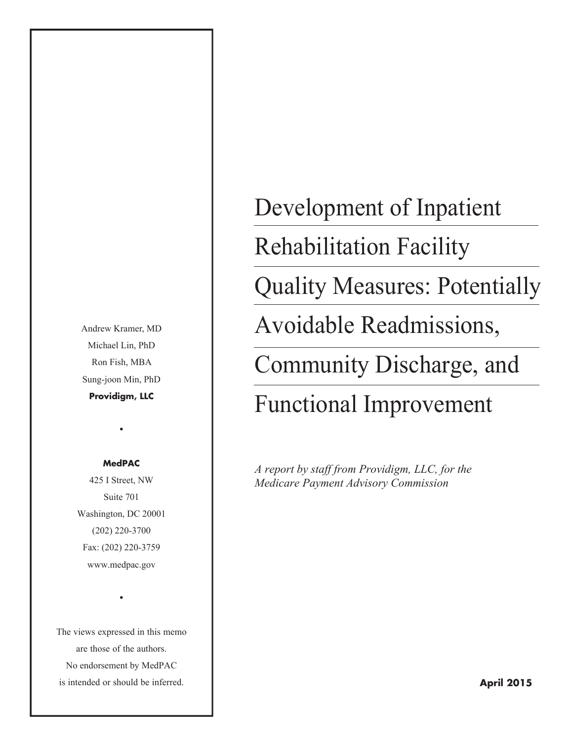Andrew Kramer, MD Michael Lin, PhD Ron Fish, MBA Sung-joon Min, PhD **Providigm, LLC**

#### **MedPAC**

•

425 I Street, NW Suite 701 Washington, DC 20001 (202) 220-3700 Fax: (202) 220-3759 www.medpac.gov

The views expressed in this memo are those of the authors. No endorsement by MedPAC is intended or should be inferred.

•

Development of Inpatient Rehabilitation Facility Quality Measures: Potentially Avoidable Readmissions, Community Discharge, and Functional Improvement

*A report by staff from Providigm, LLC, for the Medicare Payment Advisory Commission*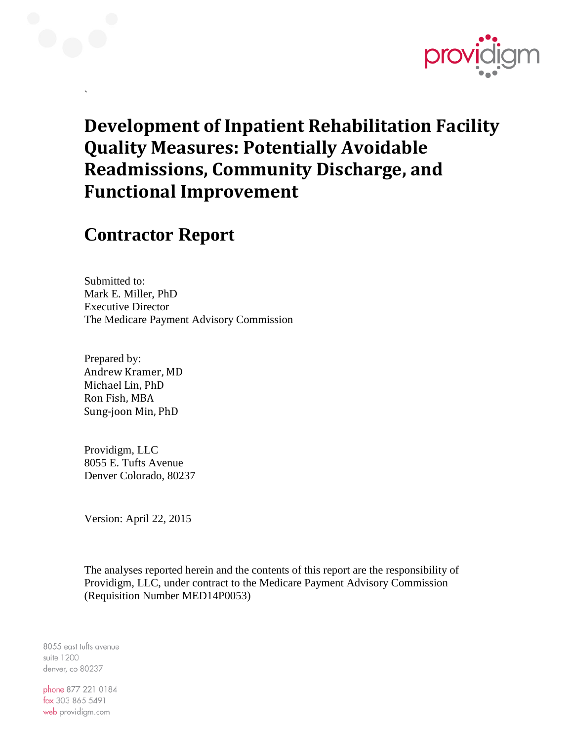

## **Development of Inpatient Rehabilitation Facility Quality Measures: Potentially Avoidable Readmissions, Community Discharge, and Functional Improvement**

## **Contractor Report**

`

Submitted to: Mark E. Miller, PhD Executive Director The Medicare Payment Advisory Commission

Prepared by: Andrew Kramer, MD Michael Lin, PhD Ron Fish, MBA Sung-joon Min, PhD

Providigm, LLC 8055 E. Tufts Avenue Denver Colorado, 80237

Version: April 22, 2015

The analyses reported herein and the contents of this report are the responsibility of Providigm, LLC, under contract to the Medicare Payment Advisory Commission (Requisition Number MED14P0053)

8055 east tufts avenue suite 1200 denver, co 80237

phone 877 221 0184 fax 303 865 5491 web providigm.com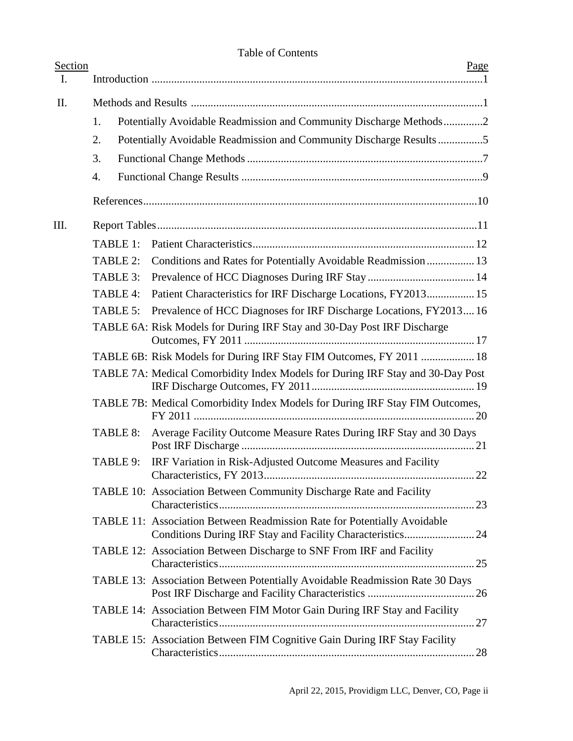| Section<br>$\mathbf{I}$ . |          |                                                                                | Page |
|---------------------------|----------|--------------------------------------------------------------------------------|------|
| II.                       |          |                                                                                |      |
|                           | 1.       | Potentially Avoidable Readmission and Community Discharge Methods2             |      |
|                           | 2.       | Potentially Avoidable Readmission and Community Discharge Results5             |      |
|                           | 3.       |                                                                                |      |
|                           | 4.       |                                                                                |      |
|                           |          |                                                                                |      |
| Ш.                        |          |                                                                                |      |
|                           | TABLE 1: |                                                                                |      |
|                           | TABLE 2: | Conditions and Rates for Potentially Avoidable Readmission  13                 |      |
|                           | TABLE 3: |                                                                                |      |
|                           | TABLE 4: | Patient Characteristics for IRF Discharge Locations, FY2013 15                 |      |
|                           | TABLE 5: | Prevalence of HCC Diagnoses for IRF Discharge Locations, FY201316              |      |
|                           |          | TABLE 6A: Risk Models for During IRF Stay and 30-Day Post IRF Discharge        |      |
|                           |          | TABLE 6B: Risk Models for During IRF Stay FIM Outcomes, FY 2011  18            |      |
|                           |          | TABLE 7A: Medical Comorbidity Index Models for During IRF Stay and 30-Day Post |      |
|                           |          | TABLE 7B: Medical Comorbidity Index Models for During IRF Stay FIM Outcomes,   |      |
|                           | TABLE 8: | Average Facility Outcome Measure Rates During IRF Stay and 30 Days             |      |
|                           | TABLE 9: | IRF Variation in Risk-Adjusted Outcome Measures and Facility                   |      |
|                           |          | TABLE 10: Association Between Community Discharge Rate and Facility            |      |
|                           |          | TABLE 11: Association Between Readmission Rate for Potentially Avoidable       |      |
|                           |          | TABLE 12: Association Between Discharge to SNF From IRF and Facility           |      |
|                           |          | TABLE 13: Association Between Potentially Avoidable Readmission Rate 30 Days   |      |
|                           |          | TABLE 14: Association Between FIM Motor Gain During IRF Stay and Facility      |      |
|                           |          | TABLE 15: Association Between FIM Cognitive Gain During IRF Stay Facility      |      |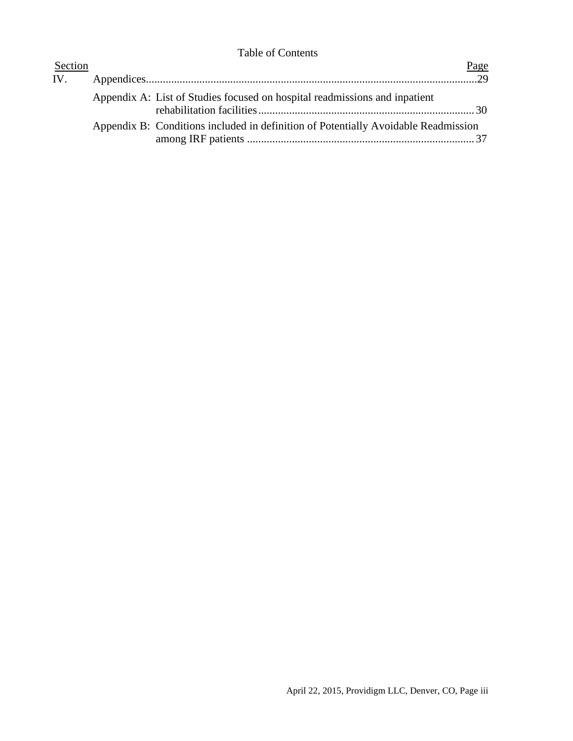| Section |                                                                                    | Page |
|---------|------------------------------------------------------------------------------------|------|
|         |                                                                                    |      |
|         | Appendix A: List of Studies focused on hospital readmissions and inpatient         |      |
|         | Appendix B: Conditions included in definition of Potentially Avoidable Readmission |      |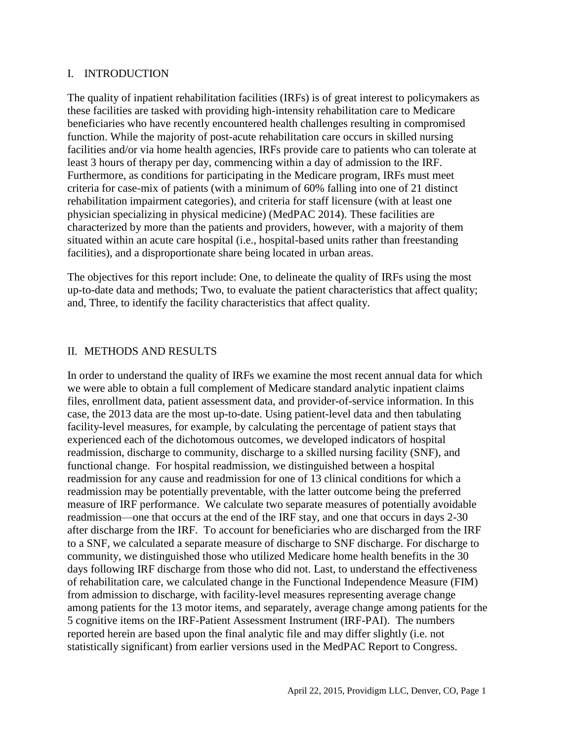#### I. INTRODUCTION

The quality of inpatient rehabilitation facilities (IRFs) is of great interest to policymakers as these facilities are tasked with providing high-intensity rehabilitation care to Medicare beneficiaries who have recently encountered health challenges resulting in compromised function. While the majority of post-acute rehabilitation care occurs in skilled nursing facilities and/or via home health agencies, IRFs provide care to patients who can tolerate at least 3 hours of therapy per day, commencing within a day of admission to the IRF. Furthermore, as conditions for participating in the Medicare program, IRFs must meet criteria for case-mix of patients (with a minimum of 60% falling into one of 21 distinct rehabilitation impairment categories), and criteria for staff licensure (with at least one physician specializing in physical medicine) (MedPAC 2014). These facilities are characterized by more than the patients and providers, however, with a majority of them situated within an acute care hospital (i.e., hospital-based units rather than freestanding facilities), and a disproportionate share being located in urban areas.

The objectives for this report include: One, to delineate the quality of IRFs using the most up-to-date data and methods; Two, to evaluate the patient characteristics that affect quality; and, Three, to identify the facility characteristics that affect quality.

#### II. METHODS AND RESULTS

In order to understand the quality of IRFs we examine the most recent annual data for which we were able to obtain a full complement of Medicare standard analytic inpatient claims files, enrollment data, patient assessment data, and provider-of-service information. In this case, the 2013 data are the most up-to-date. Using patient-level data and then tabulating facility-level measures, for example, by calculating the percentage of patient stays that experienced each of the dichotomous outcomes, we developed indicators of hospital readmission, discharge to community, discharge to a skilled nursing facility (SNF), and functional change. For hospital readmission, we distinguished between a hospital readmission for any cause and readmission for one of 13 clinical conditions for which a readmission may be potentially preventable, with the latter outcome being the preferred measure of IRF performance. We calculate two separate measures of potentially avoidable readmission—one that occurs at the end of the IRF stay, and one that occurs in days 2-30 after discharge from the IRF. To account for beneficiaries who are discharged from the IRF to a SNF, we calculated a separate measure of discharge to SNF discharge. For discharge to community, we distinguished those who utilized Medicare home health benefits in the 30 days following IRF discharge from those who did not. Last, to understand the effectiveness of rehabilitation care, we calculated change in the Functional Independence Measure (FIM) from admission to discharge, with facility-level measures representing average change among patients for the 13 motor items, and separately, average change among patients for the 5 cognitive items on the IRF-Patient Assessment Instrument (IRF-PAI). The numbers reported herein are based upon the final analytic file and may differ slightly (i.e. not statistically significant) from earlier versions used in the MedPAC Report to Congress.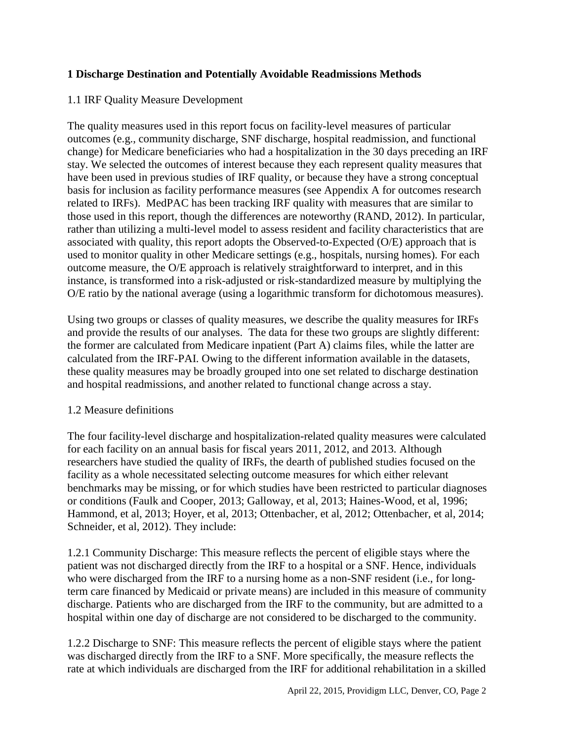#### **1 Discharge Destination and Potentially Avoidable Readmissions Methods**

#### 1.1 IRF Quality Measure Development

The quality measures used in this report focus on facility-level measures of particular outcomes (e.g., community discharge, SNF discharge, hospital readmission, and functional change) for Medicare beneficiaries who had a hospitalization in the 30 days preceding an IRF stay. We selected the outcomes of interest because they each represent quality measures that have been used in previous studies of IRF quality, or because they have a strong conceptual basis for inclusion as facility performance measures (see Appendix A for outcomes research related to IRFs). MedPAC has been tracking IRF quality with measures that are similar to those used in this report, though the differences are noteworthy (RAND, 2012). In particular, rather than utilizing a multi-level model to assess resident and facility characteristics that are associated with quality, this report adopts the Observed-to-Expected (O/E) approach that is used to monitor quality in other Medicare settings (e.g., hospitals, nursing homes). For each outcome measure, the O/E approach is relatively straightforward to interpret, and in this instance, is transformed into a risk-adjusted or risk-standardized measure by multiplying the O/E ratio by the national average (using a logarithmic transform for dichotomous measures).

Using two groups or classes of quality measures, we describe the quality measures for IRFs and provide the results of our analyses. The data for these two groups are slightly different: the former are calculated from Medicare inpatient (Part A) claims files, while the latter are calculated from the IRF-PAI. Owing to the different information available in the datasets, these quality measures may be broadly grouped into one set related to discharge destination and hospital readmissions, and another related to functional change across a stay.

#### 1.2 Measure definitions

The four facility-level discharge and hospitalization-related quality measures were calculated for each facility on an annual basis for fiscal years 2011, 2012, and 2013. Although researchers have studied the quality of IRFs, the dearth of published studies focused on the facility as a whole necessitated selecting outcome measures for which either relevant benchmarks may be missing, or for which studies have been restricted to particular diagnoses or conditions (Faulk and Cooper, 2013; Galloway, et al, 2013; Haines-Wood, et al, 1996; Hammond, et al, 2013; Hoyer, et al, 2013; Ottenbacher, et al, 2012; Ottenbacher, et al, 2014; Schneider, et al, 2012). They include:

1.2.1 Community Discharge: This measure reflects the percent of eligible stays where the patient was not discharged directly from the IRF to a hospital or a SNF. Hence, individuals who were discharged from the IRF to a nursing home as a non-SNF resident (i.e., for longterm care financed by Medicaid or private means) are included in this measure of community discharge. Patients who are discharged from the IRF to the community, but are admitted to a hospital within one day of discharge are not considered to be discharged to the community.

1.2.2 Discharge to SNF: This measure reflects the percent of eligible stays where the patient was discharged directly from the IRF to a SNF. More specifically, the measure reflects the rate at which individuals are discharged from the IRF for additional rehabilitation in a skilled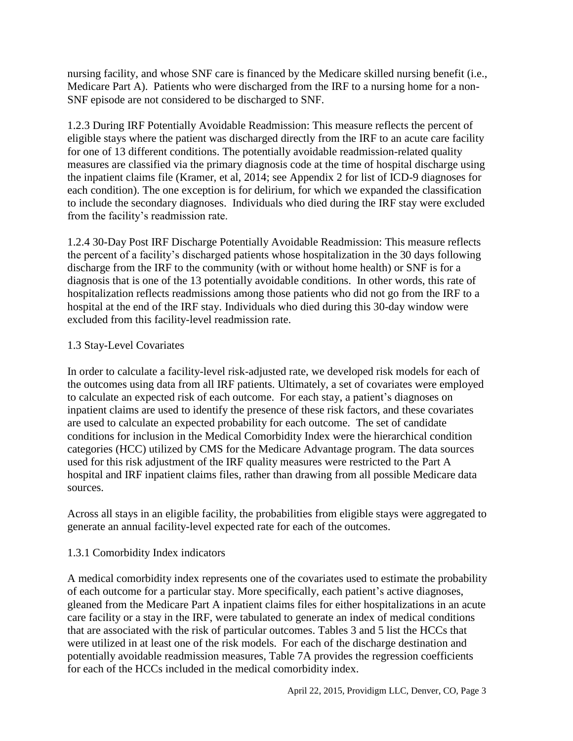nursing facility, and whose SNF care is financed by the Medicare skilled nursing benefit (i.e., Medicare Part A). Patients who were discharged from the IRF to a nursing home for a non-SNF episode are not considered to be discharged to SNF.

1.2.3 During IRF Potentially Avoidable Readmission: This measure reflects the percent of eligible stays where the patient was discharged directly from the IRF to an acute care facility for one of 13 different conditions. The potentially avoidable readmission-related quality measures are classified via the primary diagnosis code at the time of hospital discharge using the inpatient claims file (Kramer, et al, 2014; see Appendix 2 for list of ICD-9 diagnoses for each condition). The one exception is for delirium, for which we expanded the classification to include the secondary diagnoses. Individuals who died during the IRF stay were excluded from the facility's readmission rate.

1.2.4 30-Day Post IRF Discharge Potentially Avoidable Readmission: This measure reflects the percent of a facility's discharged patients whose hospitalization in the 30 days following discharge from the IRF to the community (with or without home health) or SNF is for a diagnosis that is one of the 13 potentially avoidable conditions. In other words, this rate of hospitalization reflects readmissions among those patients who did not go from the IRF to a hospital at the end of the IRF stay. Individuals who died during this 30-day window were excluded from this facility-level readmission rate.

#### 1.3 Stay-Level Covariates

In order to calculate a facility-level risk-adjusted rate, we developed risk models for each of the outcomes using data from all IRF patients. Ultimately, a set of covariates were employed to calculate an expected risk of each outcome. For each stay, a patient's diagnoses on inpatient claims are used to identify the presence of these risk factors, and these covariates are used to calculate an expected probability for each outcome. The set of candidate conditions for inclusion in the Medical Comorbidity Index were the hierarchical condition categories (HCC) utilized by CMS for the Medicare Advantage program. The data sources used for this risk adjustment of the IRF quality measures were restricted to the Part A hospital and IRF inpatient claims files, rather than drawing from all possible Medicare data sources.

Across all stays in an eligible facility, the probabilities from eligible stays were aggregated to generate an annual facility-level expected rate for each of the outcomes.

#### 1.3.1 Comorbidity Index indicators

A medical comorbidity index represents one of the covariates used to estimate the probability of each outcome for a particular stay. More specifically, each patient's active diagnoses, gleaned from the Medicare Part A inpatient claims files for either hospitalizations in an acute care facility or a stay in the IRF, were tabulated to generate an index of medical conditions that are associated with the risk of particular outcomes. Tables 3 and 5 list the HCCs that were utilized in at least one of the risk models. For each of the discharge destination and potentially avoidable readmission measures, Table 7A provides the regression coefficients for each of the HCCs included in the medical comorbidity index.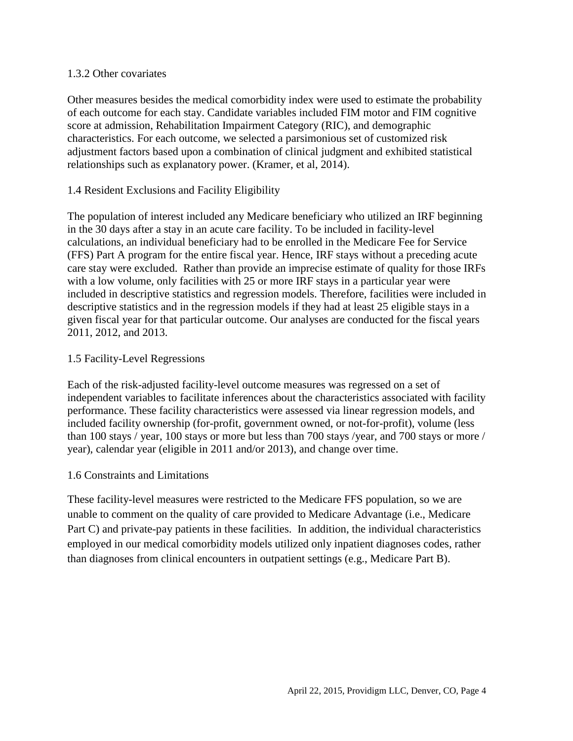#### 1.3.2 Other covariates

Other measures besides the medical comorbidity index were used to estimate the probability of each outcome for each stay. Candidate variables included FIM motor and FIM cognitive score at admission, Rehabilitation Impairment Category (RIC), and demographic characteristics. For each outcome, we selected a parsimonious set of customized risk adjustment factors based upon a combination of clinical judgment and exhibited statistical relationships such as explanatory power. (Kramer, et al, 2014).

#### 1.4 Resident Exclusions and Facility Eligibility

The population of interest included any Medicare beneficiary who utilized an IRF beginning in the 30 days after a stay in an acute care facility. To be included in facility-level calculations, an individual beneficiary had to be enrolled in the Medicare Fee for Service (FFS) Part A program for the entire fiscal year. Hence, IRF stays without a preceding acute care stay were excluded. Rather than provide an imprecise estimate of quality for those IRFs with a low volume, only facilities with 25 or more IRF stays in a particular year were included in descriptive statistics and regression models. Therefore, facilities were included in descriptive statistics and in the regression models if they had at least 25 eligible stays in a given fiscal year for that particular outcome. Our analyses are conducted for the fiscal years 2011, 2012, and 2013.

#### 1.5 Facility-Level Regressions

Each of the risk-adjusted facility-level outcome measures was regressed on a set of independent variables to facilitate inferences about the characteristics associated with facility performance. These facility characteristics were assessed via linear regression models, and included facility ownership (for-profit, government owned, or not-for-profit), volume (less than 100 stays / year, 100 stays or more but less than 700 stays /year, and 700 stays or more / year), calendar year (eligible in 2011 and/or 2013), and change over time.

#### 1.6 Constraints and Limitations

These facility-level measures were restricted to the Medicare FFS population, so we are unable to comment on the quality of care provided to Medicare Advantage (i.e., Medicare Part C) and private-pay patients in these facilities. In addition, the individual characteristics employed in our medical comorbidity models utilized only inpatient diagnoses codes, rather than diagnoses from clinical encounters in outpatient settings (e.g., Medicare Part B).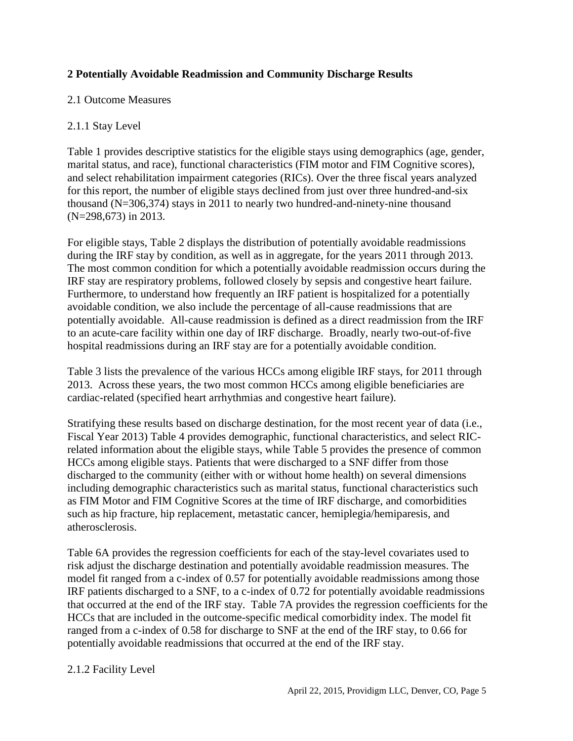#### **2 Potentially Avoidable Readmission and Community Discharge Results**

#### 2.1 Outcome Measures

#### 2.1.1 Stay Level

Table 1 provides descriptive statistics for the eligible stays using demographics (age, gender, marital status, and race), functional characteristics (FIM motor and FIM Cognitive scores), and select rehabilitation impairment categories (RICs). Over the three fiscal years analyzed for this report, the number of eligible stays declined from just over three hundred-and-six thousand (N=306,374) stays in 2011 to nearly two hundred-and-ninety-nine thousand (N=298,673) in 2013.

For eligible stays, Table 2 displays the distribution of potentially avoidable readmissions during the IRF stay by condition, as well as in aggregate, for the years 2011 through 2013. The most common condition for which a potentially avoidable readmission occurs during the IRF stay are respiratory problems, followed closely by sepsis and congestive heart failure. Furthermore, to understand how frequently an IRF patient is hospitalized for a potentially avoidable condition, we also include the percentage of all-cause readmissions that are potentially avoidable. All-cause readmission is defined as a direct readmission from the IRF to an acute-care facility within one day of IRF discharge. Broadly, nearly two-out-of-five hospital readmissions during an IRF stay are for a potentially avoidable condition.

Table 3 lists the prevalence of the various HCCs among eligible IRF stays, for 2011 through 2013. Across these years, the two most common HCCs among eligible beneficiaries are cardiac-related (specified heart arrhythmias and congestive heart failure).

Stratifying these results based on discharge destination, for the most recent year of data (i.e., Fiscal Year 2013) Table 4 provides demographic, functional characteristics, and select RICrelated information about the eligible stays, while Table 5 provides the presence of common HCCs among eligible stays. Patients that were discharged to a SNF differ from those discharged to the community (either with or without home health) on several dimensions including demographic characteristics such as marital status, functional characteristics such as FIM Motor and FIM Cognitive Scores at the time of IRF discharge, and comorbidities such as hip fracture, hip replacement, metastatic cancer, hemiplegia/hemiparesis, and atherosclerosis.

Table 6A provides the regression coefficients for each of the stay-level covariates used to risk adjust the discharge destination and potentially avoidable readmission measures. The model fit ranged from a c-index of 0.57 for potentially avoidable readmissions among those IRF patients discharged to a SNF, to a c-index of 0.72 for potentially avoidable readmissions that occurred at the end of the IRF stay. Table 7A provides the regression coefficients for the HCCs that are included in the outcome-specific medical comorbidity index. The model fit ranged from a c-index of 0.58 for discharge to SNF at the end of the IRF stay, to 0.66 for potentially avoidable readmissions that occurred at the end of the IRF stay.

#### 2.1.2 Facility Level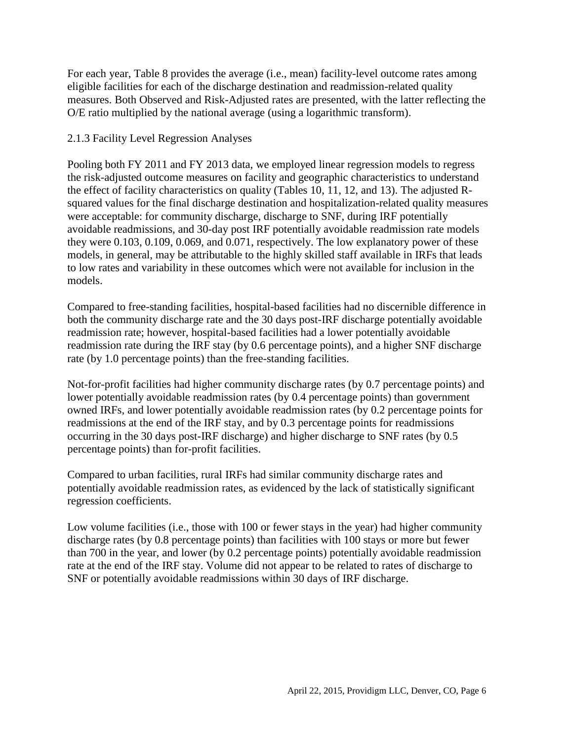For each year, Table 8 provides the average (i.e., mean) facility-level outcome rates among eligible facilities for each of the discharge destination and readmission-related quality measures. Both Observed and Risk-Adjusted rates are presented, with the latter reflecting the O/E ratio multiplied by the national average (using a logarithmic transform).

#### 2.1.3 Facility Level Regression Analyses

Pooling both FY 2011 and FY 2013 data, we employed linear regression models to regress the risk-adjusted outcome measures on facility and geographic characteristics to understand the effect of facility characteristics on quality (Tables 10, 11, 12, and 13). The adjusted Rsquared values for the final discharge destination and hospitalization-related quality measures were acceptable: for community discharge, discharge to SNF, during IRF potentially avoidable readmissions, and 30-day post IRF potentially avoidable readmission rate models they were 0.103, 0.109, 0.069, and 0.071, respectively. The low explanatory power of these models, in general, may be attributable to the highly skilled staff available in IRFs that leads to low rates and variability in these outcomes which were not available for inclusion in the models.

Compared to free-standing facilities, hospital-based facilities had no discernible difference in both the community discharge rate and the 30 days post-IRF discharge potentially avoidable readmission rate; however, hospital-based facilities had a lower potentially avoidable readmission rate during the IRF stay (by 0.6 percentage points), and a higher SNF discharge rate (by 1.0 percentage points) than the free-standing facilities.

Not-for-profit facilities had higher community discharge rates (by 0.7 percentage points) and lower potentially avoidable readmission rates (by 0.4 percentage points) than government owned IRFs, and lower potentially avoidable readmission rates (by 0.2 percentage points for readmissions at the end of the IRF stay, and by 0.3 percentage points for readmissions occurring in the 30 days post-IRF discharge) and higher discharge to SNF rates (by 0.5 percentage points) than for-profit facilities.

Compared to urban facilities, rural IRFs had similar community discharge rates and potentially avoidable readmission rates, as evidenced by the lack of statistically significant regression coefficients.

Low volume facilities (i.e., those with 100 or fewer stays in the year) had higher community discharge rates (by 0.8 percentage points) than facilities with 100 stays or more but fewer than 700 in the year, and lower (by 0.2 percentage points) potentially avoidable readmission rate at the end of the IRF stay. Volume did not appear to be related to rates of discharge to SNF or potentially avoidable readmissions within 30 days of IRF discharge.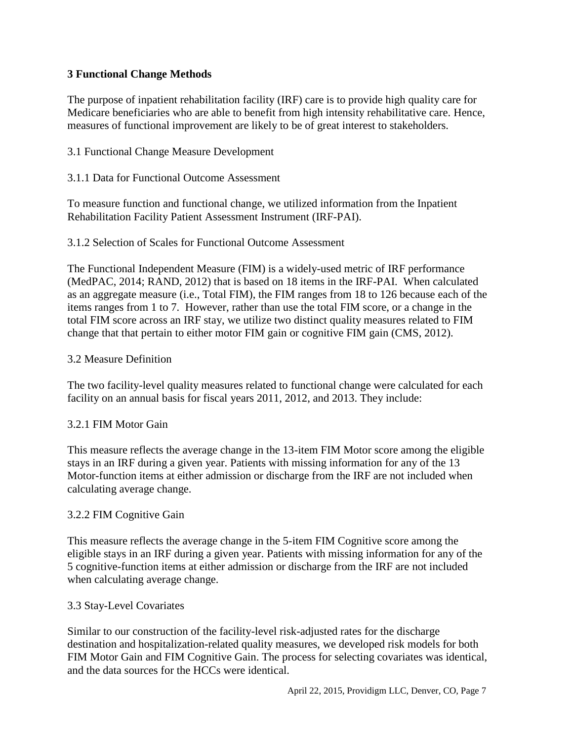#### **3 Functional Change Methods**

The purpose of inpatient rehabilitation facility (IRF) care is to provide high quality care for Medicare beneficiaries who are able to benefit from high intensity rehabilitative care. Hence, measures of functional improvement are likely to be of great interest to stakeholders.

#### 3.1 Functional Change Measure Development

#### 3.1.1 Data for Functional Outcome Assessment

To measure function and functional change, we utilized information from the Inpatient Rehabilitation Facility Patient Assessment Instrument (IRF-PAI).

#### 3.1.2 Selection of Scales for Functional Outcome Assessment

The Functional Independent Measure (FIM) is a widely-used metric of IRF performance (MedPAC, 2014; RAND, 2012) that is based on 18 items in the IRF-PAI. When calculated as an aggregate measure (i.e., Total FIM), the FIM ranges from 18 to 126 because each of the items ranges from 1 to 7. However, rather than use the total FIM score, or a change in the total FIM score across an IRF stay, we utilize two distinct quality measures related to FIM change that that pertain to either motor FIM gain or cognitive FIM gain (CMS, 2012).

#### 3.2 Measure Definition

The two facility-level quality measures related to functional change were calculated for each facility on an annual basis for fiscal years 2011, 2012, and 2013. They include:

#### 3.2.1 FIM Motor Gain

This measure reflects the average change in the 13-item FIM Motor score among the eligible stays in an IRF during a given year. Patients with missing information for any of the 13 Motor-function items at either admission or discharge from the IRF are not included when calculating average change.

#### 3.2.2 FIM Cognitive Gain

This measure reflects the average change in the 5-item FIM Cognitive score among the eligible stays in an IRF during a given year. Patients with missing information for any of the 5 cognitive-function items at either admission or discharge from the IRF are not included when calculating average change.

#### 3.3 Stay-Level Covariates

Similar to our construction of the facility-level risk-adjusted rates for the discharge destination and hospitalization-related quality measures, we developed risk models for both FIM Motor Gain and FIM Cognitive Gain. The process for selecting covariates was identical, and the data sources for the HCCs were identical.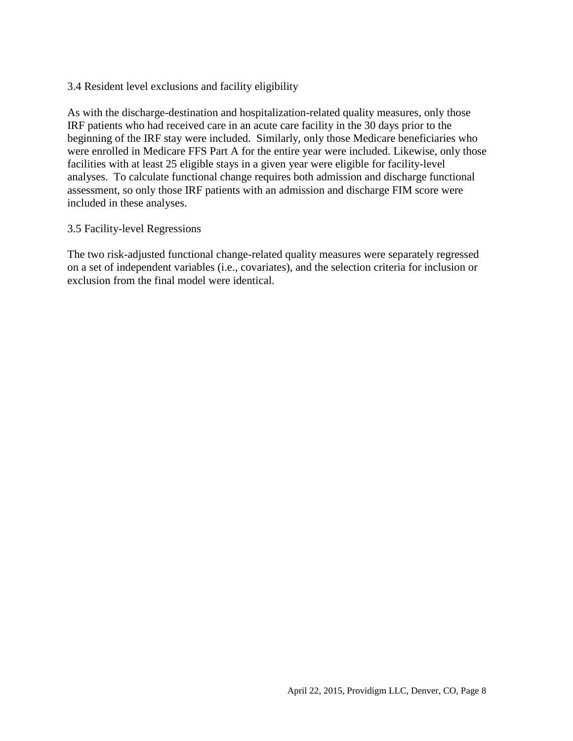#### 3.4 Resident level exclusions and facility eligibility

As with the discharge-destination and hospitalization-related quality measures, only those IRF patients who had received care in an acute care facility in the 30 days prior to the beginning of the IRF stay were included. Similarly, only those Medicare beneficiaries who were enrolled in Medicare FFS Part A for the entire year were included. Likewise, only those facilities with at least 25 eligible stays in a given year were eligible for facility-level analyses. To calculate functional change requires both admission and discharge functional assessment, so only those IRF patients with an admission and discharge FIM score were included in these analyses.

#### 3.5 Facility-level Regressions

The two risk-adjusted functional change-related quality measures were separately regressed on a set of independent variables (i.e., covariates), and the selection criteria for inclusion or exclusion from the final model were identical.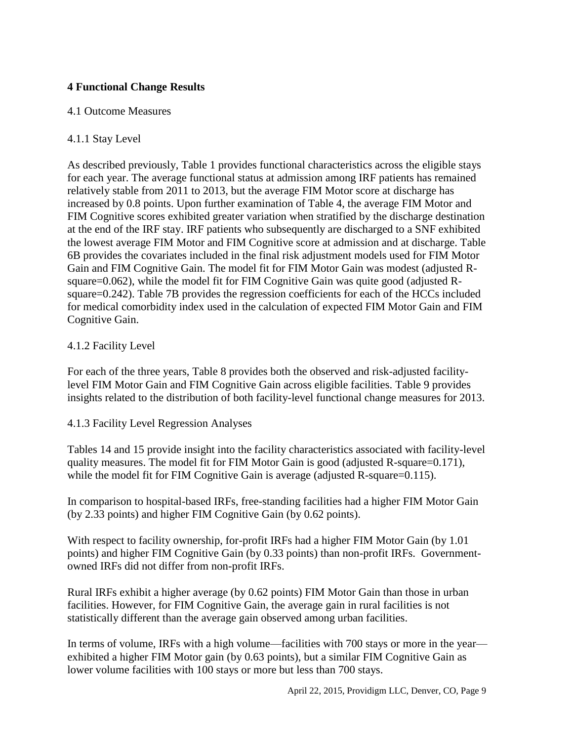#### **4 Functional Change Results**

#### 4.1 Outcome Measures

#### 4.1.1 Stay Level

As described previously, Table 1 provides functional characteristics across the eligible stays for each year. The average functional status at admission among IRF patients has remained relatively stable from 2011 to 2013, but the average FIM Motor score at discharge has increased by 0.8 points. Upon further examination of Table 4, the average FIM Motor and FIM Cognitive scores exhibited greater variation when stratified by the discharge destination at the end of the IRF stay. IRF patients who subsequently are discharged to a SNF exhibited the lowest average FIM Motor and FIM Cognitive score at admission and at discharge. Table 6B provides the covariates included in the final risk adjustment models used for FIM Motor Gain and FIM Cognitive Gain. The model fit for FIM Motor Gain was modest (adjusted Rsquare=0.062), while the model fit for FIM Cognitive Gain was quite good (adjusted Rsquare=0.242). Table 7B provides the regression coefficients for each of the HCCs included for medical comorbidity index used in the calculation of expected FIM Motor Gain and FIM Cognitive Gain.

#### 4.1.2 Facility Level

For each of the three years, Table 8 provides both the observed and risk-adjusted facilitylevel FIM Motor Gain and FIM Cognitive Gain across eligible facilities. Table 9 provides insights related to the distribution of both facility-level functional change measures for 2013.

#### 4.1.3 Facility Level Regression Analyses

Tables 14 and 15 provide insight into the facility characteristics associated with facility-level quality measures. The model fit for FIM Motor Gain is good (adjusted R-square=0.171), while the model fit for FIM Cognitive Gain is average (adjusted R-square=0.115).

In comparison to hospital-based IRFs, free-standing facilities had a higher FIM Motor Gain (by 2.33 points) and higher FIM Cognitive Gain (by 0.62 points).

With respect to facility ownership, for-profit IRFs had a higher FIM Motor Gain (by 1.01 points) and higher FIM Cognitive Gain (by 0.33 points) than non-profit IRFs. Governmentowned IRFs did not differ from non-profit IRFs.

Rural IRFs exhibit a higher average (by 0.62 points) FIM Motor Gain than those in urban facilities. However, for FIM Cognitive Gain, the average gain in rural facilities is not statistically different than the average gain observed among urban facilities.

In terms of volume, IRFs with a high volume—facilities with 700 stays or more in the year exhibited a higher FIM Motor gain (by 0.63 points), but a similar FIM Cognitive Gain as lower volume facilities with 100 stays or more but less than 700 stays.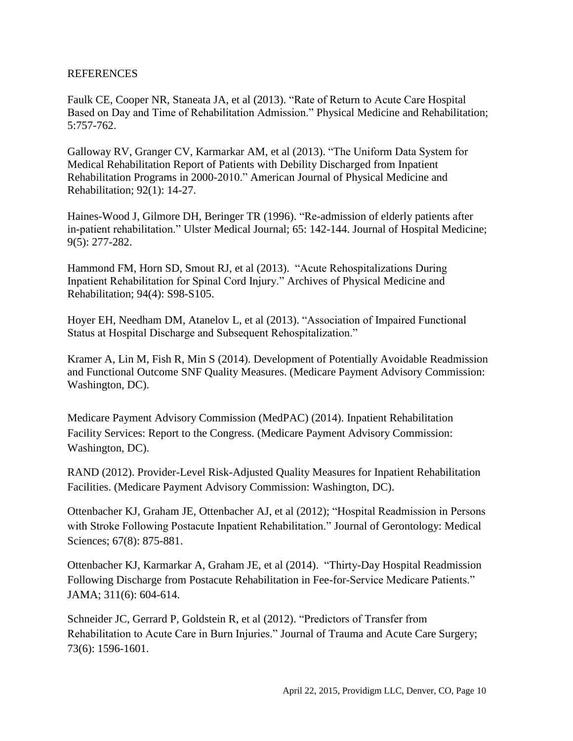#### REFERENCES

Faulk CE, Cooper NR, Staneata JA, et al (2013). "Rate of Return to Acute Care Hospital Based on Day and Time of Rehabilitation Admission." Physical Medicine and Rehabilitation; 5:757-762.

Galloway RV, Granger CV, Karmarkar AM, et al (2013). "The Uniform Data System for Medical Rehabilitation Report of Patients with Debility Discharged from Inpatient Rehabilitation Programs in 2000-2010." American Journal of Physical Medicine and Rehabilitation; 92(1): 14-27.

Haines-Wood J, Gilmore DH, Beringer TR (1996). "Re-admission of elderly patients after in-patient rehabilitation." Ulster Medical Journal; 65: 142-144. Journal of Hospital Medicine; 9(5): 277-282.

Hammond FM, Horn SD, Smout RJ, et al (2013). "Acute Rehospitalizations During Inpatient Rehabilitation for Spinal Cord Injury." Archives of Physical Medicine and Rehabilitation; 94(4): S98-S105.

Hoyer EH, Needham DM, Atanelov L, et al (2013). "Association of Impaired Functional Status at Hospital Discharge and Subsequent Rehospitalization."

Kramer A, Lin M, Fish R, Min S (2014). Development of Potentially Avoidable Readmission and Functional Outcome SNF Quality Measures. (Medicare Payment Advisory Commission: Washington, DC).

Medicare Payment Advisory Commission (MedPAC) (2014). Inpatient Rehabilitation Facility Services: Report to the Congress. (Medicare Payment Advisory Commission: Washington, DC).

RAND (2012). Provider-Level Risk-Adjusted Quality Measures for Inpatient Rehabilitation Facilities. (Medicare Payment Advisory Commission: Washington, DC).

Ottenbacher KJ, Graham JE, Ottenbacher AJ, et al (2012); "Hospital Readmission in Persons with Stroke Following Postacute Inpatient Rehabilitation." Journal of Gerontology: Medical Sciences; 67(8): 875-881.

Ottenbacher KJ, Karmarkar A, Graham JE, et al (2014). "Thirty-Day Hospital Readmission Following Discharge from Postacute Rehabilitation in Fee-for-Service Medicare Patients." JAMA; 311(6): 604-614.

Schneider JC, Gerrard P, Goldstein R, et al (2012). "Predictors of Transfer from Rehabilitation to Acute Care in Burn Injuries." Journal of Trauma and Acute Care Surgery; 73(6): 1596-1601.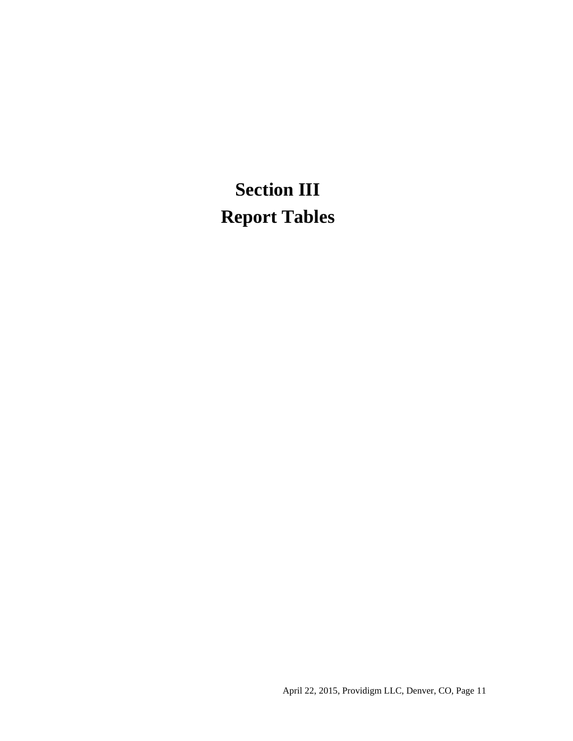# **Section III Report Tables**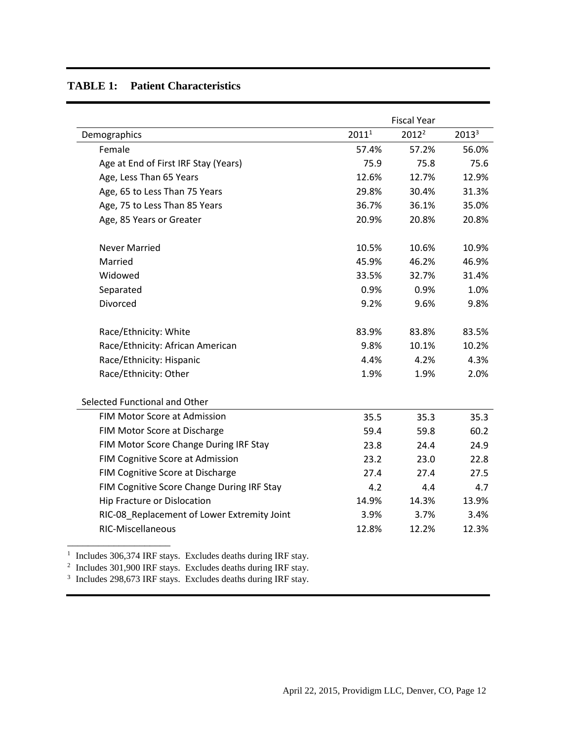|                                             |                   | <b>Fiscal Year</b> |          |
|---------------------------------------------|-------------------|--------------------|----------|
| Demographics                                | 2011 <sup>1</sup> | $2012^2$           | $2013^3$ |
| Female                                      | 57.4%             | 57.2%              | 56.0%    |
| Age at End of First IRF Stay (Years)        | 75.9              | 75.8               | 75.6     |
| Age, Less Than 65 Years                     | 12.6%             | 12.7%              | 12.9%    |
| Age, 65 to Less Than 75 Years               | 29.8%             | 30.4%              | 31.3%    |
| Age, 75 to Less Than 85 Years               | 36.7%             | 36.1%              | 35.0%    |
| Age, 85 Years or Greater                    | 20.9%             | 20.8%              | 20.8%    |
| <b>Never Married</b>                        | 10.5%             | 10.6%              | 10.9%    |
| Married                                     | 45.9%             | 46.2%              | 46.9%    |
| Widowed                                     | 33.5%             | 32.7%              | 31.4%    |
| Separated                                   | 0.9%              | 0.9%               | 1.0%     |
| Divorced                                    | 9.2%              | 9.6%               | 9.8%     |
| Race/Ethnicity: White                       | 83.9%             | 83.8%              | 83.5%    |
| Race/Ethnicity: African American            | 9.8%              | 10.1%              | 10.2%    |
| Race/Ethnicity: Hispanic                    | 4.4%              | 4.2%               | 4.3%     |
| Race/Ethnicity: Other                       | 1.9%              | 1.9%               | 2.0%     |
| Selected Functional and Other               |                   |                    |          |
| FIM Motor Score at Admission                | 35.5              | 35.3               | 35.3     |
| FIM Motor Score at Discharge                | 59.4              | 59.8               | 60.2     |
| FIM Motor Score Change During IRF Stay      | 23.8              | 24.4               | 24.9     |
| FIM Cognitive Score at Admission            | 23.2              | 23.0               | 22.8     |
| FIM Cognitive Score at Discharge            | 27.4              | 27.4               | 27.5     |
| FIM Cognitive Score Change During IRF Stay  | 4.2               | 4.4                | 4.7      |
| Hip Fracture or Dislocation                 | 14.9%             | 14.3%              | 13.9%    |
| RIC-08_Replacement of Lower Extremity Joint | 3.9%              | 3.7%               | 3.4%     |
| RIC-Miscellaneous                           | 12.8%             | 12.2%              | 12.3%    |

#### **TABLE 1: Patient Characteristics**

<sup>1</sup> Includes 306,374 IRF stays. Excludes deaths during IRF stay.

 $2$  Includes 301,900 IRF stays. Excludes deaths during IRF stay.

<sup>3</sup> Includes 298,673 IRF stays. Excludes deaths during IRF stay.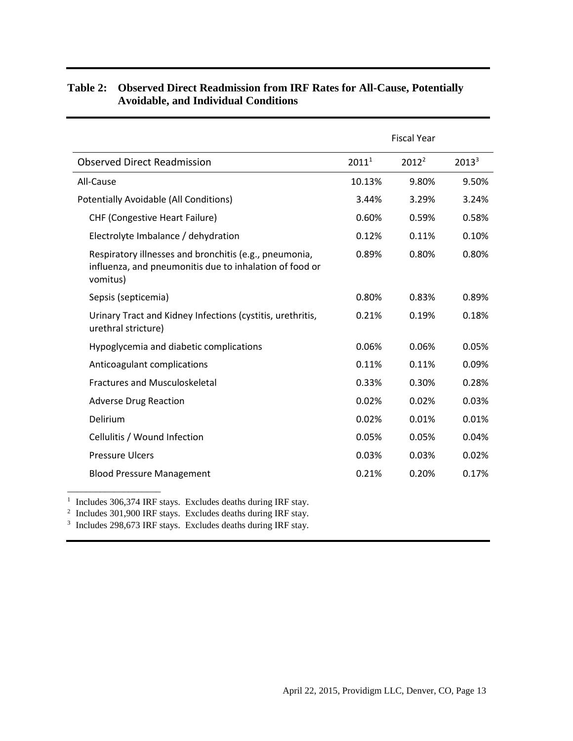|                                                                                                                               |          | <b>Fiscal Year</b> |          |
|-------------------------------------------------------------------------------------------------------------------------------|----------|--------------------|----------|
| <b>Observed Direct Readmission</b>                                                                                            | $2011^1$ | $2012^2$           | $2013^3$ |
| All-Cause                                                                                                                     | 10.13%   | 9.80%              | 9.50%    |
| <b>Potentially Avoidable (All Conditions)</b>                                                                                 | 3.44%    | 3.29%              | 3.24%    |
| <b>CHF (Congestive Heart Failure)</b>                                                                                         | 0.60%    | 0.59%              | 0.58%    |
| Electrolyte Imbalance / dehydration                                                                                           | 0.12%    | 0.11%              | 0.10%    |
| Respiratory illnesses and bronchitis (e.g., pneumonia,<br>influenza, and pneumonitis due to inhalation of food or<br>vomitus) | 0.89%    | 0.80%              | 0.80%    |
| Sepsis (septicemia)                                                                                                           | 0.80%    | 0.83%              | 0.89%    |
| Urinary Tract and Kidney Infections (cystitis, urethritis,<br>urethral stricture)                                             | 0.21%    | 0.19%              | 0.18%    |
| Hypoglycemia and diabetic complications                                                                                       | 0.06%    | 0.06%              | 0.05%    |
| Anticoagulant complications                                                                                                   | 0.11%    | 0.11%              | 0.09%    |
| <b>Fractures and Musculoskeletal</b>                                                                                          | 0.33%    | 0.30%              | 0.28%    |
| <b>Adverse Drug Reaction</b>                                                                                                  | 0.02%    | 0.02%              | 0.03%    |
| Delirium                                                                                                                      | 0.02%    | 0.01%              | 0.01%    |
| Cellulitis / Wound Infection                                                                                                  | 0.05%    | 0.05%              | 0.04%    |
| <b>Pressure Ulcers</b>                                                                                                        | 0.03%    | 0.03%              | 0.02%    |
| <b>Blood Pressure Management</b>                                                                                              | 0.21%    | 0.20%              | 0.17%    |

#### **Table 2: Observed Direct Readmission from IRF Rates for All-Cause, Potentially Avoidable, and Individual Conditions**

<sup>1</sup> Includes 306,374 IRF stays. Excludes deaths during IRF stay.

\_\_\_\_\_\_\_\_\_\_\_\_\_\_\_\_\_\_\_\_

<sup>2</sup> Includes 301,900 IRF stays. Excludes deaths during IRF stay.

<sup>3</sup> Includes 298,673 IRF stays. Excludes deaths during IRF stay.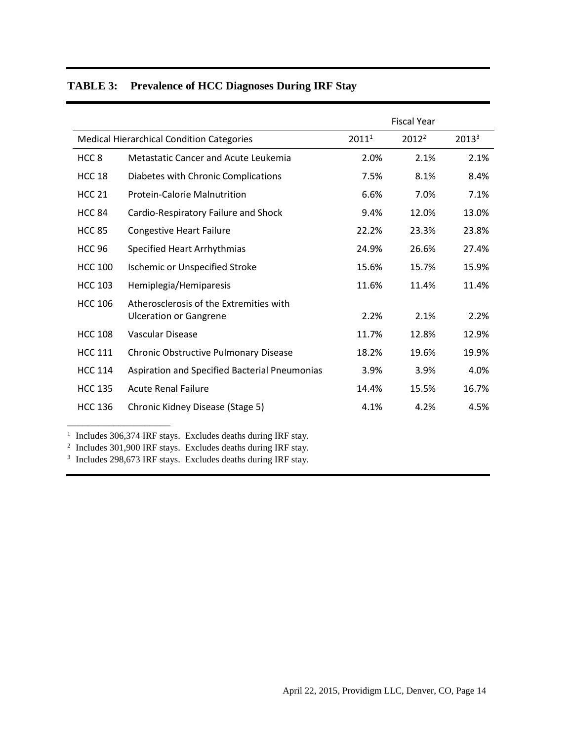|                  |                                                                          |                   | <b>Fiscal Year</b> |                   |
|------------------|--------------------------------------------------------------------------|-------------------|--------------------|-------------------|
|                  | <b>Medical Hierarchical Condition Categories</b>                         | 2011 <sup>1</sup> | $2012^2$           | 2013 <sup>3</sup> |
| HCC <sub>8</sub> | Metastatic Cancer and Acute Leukemia                                     | 2.0%              | 2.1%               | 2.1%              |
| <b>HCC 18</b>    | Diabetes with Chronic Complications                                      | 7.5%              | 8.1%               | 8.4%              |
| <b>HCC 21</b>    | <b>Protein-Calorie Malnutrition</b>                                      | 6.6%              | 7.0%               | 7.1%              |
| <b>HCC 84</b>    | Cardio-Respiratory Failure and Shock                                     | 9.4%              | 12.0%              | 13.0%             |
| <b>HCC 85</b>    | <b>Congestive Heart Failure</b>                                          | 22.2%             | 23.3%              | 23.8%             |
| <b>HCC 96</b>    | Specified Heart Arrhythmias                                              | 24.9%             | 26.6%              | 27.4%             |
| <b>HCC 100</b>   | <b>Ischemic or Unspecified Stroke</b>                                    | 15.6%             | 15.7%              | 15.9%             |
| <b>HCC 103</b>   | Hemiplegia/Hemiparesis                                                   | 11.6%             | 11.4%              | 11.4%             |
| <b>HCC 106</b>   | Atherosclerosis of the Extremities with<br><b>Ulceration or Gangrene</b> | 2.2%              | 2.1%               | 2.2%              |
| <b>HCC 108</b>   | Vascular Disease                                                         | 11.7%             | 12.8%              | 12.9%             |
| <b>HCC 111</b>   | Chronic Obstructive Pulmonary Disease                                    | 18.2%             | 19.6%              | 19.9%             |
| <b>HCC 114</b>   | Aspiration and Specified Bacterial Pneumonias                            | 3.9%              | 3.9%               | 4.0%              |
| <b>HCC 135</b>   | <b>Acute Renal Failure</b>                                               | 14.4%             | 15.5%              | 16.7%             |
| <b>HCC 136</b>   | Chronic Kidney Disease (Stage 5)                                         | 4.1%              | 4.2%               | 4.5%              |

## **TABLE 3: Prevalence of HCC Diagnoses During IRF Stay**

<sup>1</sup> Includes 306,374 IRF stays. Excludes deaths during IRF stay.

<sup>2</sup> Includes 301,900 IRF stays. Excludes deaths during IRF stay.

<sup>3</sup> Includes 298,673 IRF stays. Excludes deaths during IRF stay.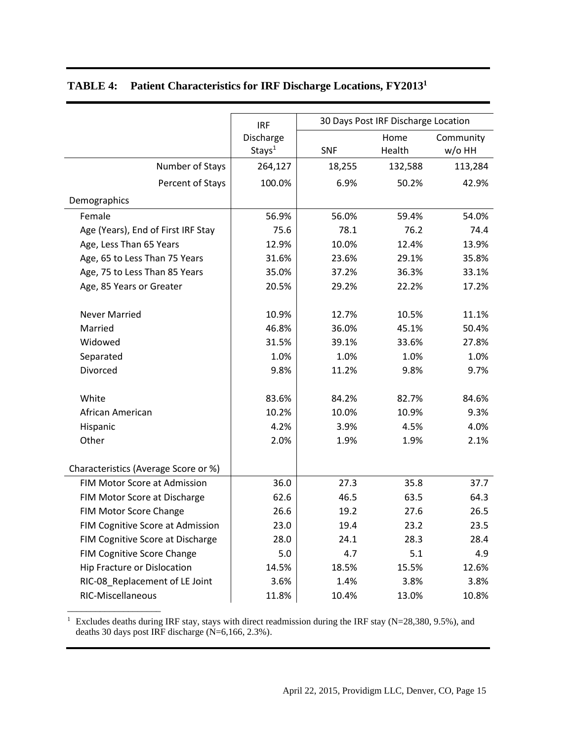|                                         | <b>IRF</b>         | 30 Days Post IRF Discharge Location |         |           |  |
|-----------------------------------------|--------------------|-------------------------------------|---------|-----------|--|
|                                         | Discharge          |                                     | Home    | Community |  |
|                                         | Stays <sup>1</sup> | <b>SNF</b>                          | Health  | $w$ /o HH |  |
| Number of Stays                         | 264,127            | 18,255                              | 132,588 | 113,284   |  |
| Percent of Stays                        | 100.0%             | 6.9%                                | 50.2%   | 42.9%     |  |
| Demographics                            |                    |                                     |         |           |  |
| Female                                  | 56.9%              | 56.0%                               | 59.4%   | 54.0%     |  |
| Age (Years), End of First IRF Stay      | 75.6               | 78.1                                | 76.2    | 74.4      |  |
| Age, Less Than 65 Years                 | 12.9%              | 10.0%                               | 12.4%   | 13.9%     |  |
| Age, 65 to Less Than 75 Years           | 31.6%              | 23.6%                               | 29.1%   | 35.8%     |  |
| Age, 75 to Less Than 85 Years           | 35.0%              | 37.2%                               | 36.3%   | 33.1%     |  |
| Age, 85 Years or Greater                | 20.5%              | 29.2%                               | 22.2%   | 17.2%     |  |
|                                         |                    |                                     |         |           |  |
| <b>Never Married</b>                    | 10.9%              | 12.7%                               | 10.5%   | 11.1%     |  |
| Married                                 | 46.8%              | 36.0%                               | 45.1%   | 50.4%     |  |
| Widowed                                 | 31.5%              | 39.1%                               | 33.6%   | 27.8%     |  |
| Separated                               | 1.0%               | 1.0%                                | 1.0%    | 1.0%      |  |
| Divorced                                | 9.8%               | 11.2%                               | 9.8%    | 9.7%      |  |
| White                                   | 83.6%              | 84.2%                               | 82.7%   | 84.6%     |  |
| African American                        | 10.2%              | 10.0%                               | 10.9%   | 9.3%      |  |
| Hispanic                                | 4.2%               | 3.9%                                | 4.5%    | 4.0%      |  |
| Other                                   | 2.0%               | 1.9%                                | 1.9%    | 2.1%      |  |
|                                         |                    |                                     |         |           |  |
| Characteristics (Average Score or %)    |                    |                                     |         |           |  |
| FIM Motor Score at Admission            | 36.0               | 27.3                                | 35.8    | 37.7      |  |
| FIM Motor Score at Discharge            | 62.6               | 46.5                                | 63.5    | 64.3      |  |
| FIM Motor Score Change                  | 26.6               | 19.2                                | 27.6    | 26.5      |  |
| <b>FIM Cognitive Score at Admission</b> | 23.0               | 19.4                                | 23.2    | 23.5      |  |
| FIM Cognitive Score at Discharge        | 28.0               | 24.1                                | 28.3    | 28.4      |  |
| FIM Cognitive Score Change              | 5.0                | 4.7                                 | 5.1     | 4.9       |  |
| <b>Hip Fracture or Dislocation</b>      | 14.5%              | 18.5%                               | 15.5%   | 12.6%     |  |
| RIC-08_Replacement of LE Joint          | 3.6%               | 1.4%                                | 3.8%    | 3.8%      |  |
| RIC-Miscellaneous                       | 11.8%              | 10.4%                               | 13.0%   | 10.8%     |  |

## **TABLE 4: Patient Characteristics for IRF Discharge Locations, FY2013<sup>1</sup>**

<sup>1</sup> Excludes deaths during IRF stay, stays with direct readmission during the IRF stay (N=28,380, 9.5%), and deaths 30 days post IRF discharge  $(N=6,166, 2.3\%)$ .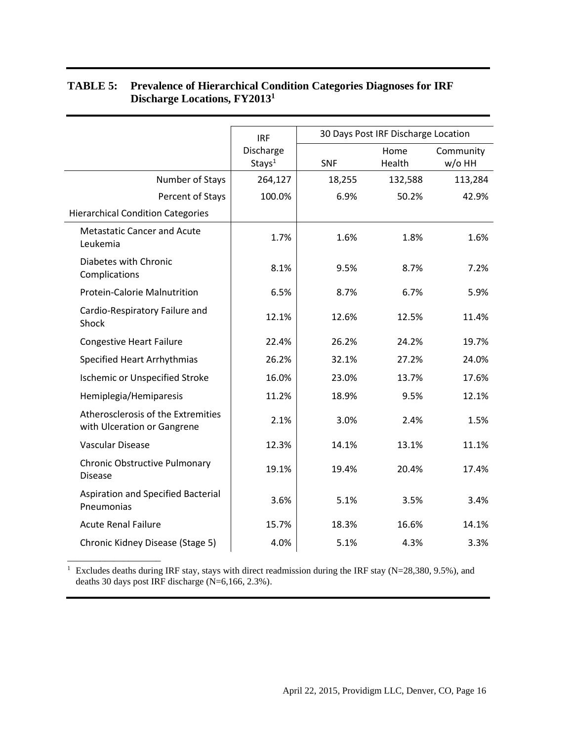|                                                                   | <b>IRF</b>                      | 30 Days Post IRF Discharge Location |                |                     |  |  |
|-------------------------------------------------------------------|---------------------------------|-------------------------------------|----------------|---------------------|--|--|
|                                                                   | Discharge<br>Stays <sup>1</sup> | <b>SNF</b>                          | Home<br>Health | Community<br>w/o HH |  |  |
| Number of Stays                                                   | 264,127                         | 18,255                              | 132,588        | 113,284             |  |  |
| Percent of Stays                                                  | 100.0%                          | 6.9%                                | 50.2%          | 42.9%               |  |  |
| <b>Hierarchical Condition Categories</b>                          |                                 |                                     |                |                     |  |  |
| <b>Metastatic Cancer and Acute</b><br>Leukemia                    | 1.7%                            | 1.6%                                | 1.8%           | 1.6%                |  |  |
| Diabetes with Chronic<br>Complications                            | 8.1%                            | 9.5%                                | 8.7%           | 7.2%                |  |  |
| <b>Protein-Calorie Malnutrition</b>                               | 6.5%                            | 8.7%                                | 6.7%           | 5.9%                |  |  |
| Cardio-Respiratory Failure and<br>Shock                           | 12.1%                           | 12.6%                               | 12.5%          | 11.4%               |  |  |
| <b>Congestive Heart Failure</b>                                   | 22.4%                           | 26.2%                               | 24.2%          | 19.7%               |  |  |
| <b>Specified Heart Arrhythmias</b>                                | 26.2%                           | 32.1%                               | 27.2%          | 24.0%               |  |  |
| <b>Ischemic or Unspecified Stroke</b>                             | 16.0%                           | 23.0%                               | 13.7%          | 17.6%               |  |  |
| Hemiplegia/Hemiparesis                                            | 11.2%                           | 18.9%                               | 9.5%           | 12.1%               |  |  |
| Atherosclerosis of the Extremities<br>with Ulceration or Gangrene | 2.1%                            | 3.0%                                | 2.4%           | 1.5%                |  |  |
| <b>Vascular Disease</b>                                           | 12.3%                           | 14.1%                               | 13.1%          | 11.1%               |  |  |
| Chronic Obstructive Pulmonary<br><b>Disease</b>                   | 19.1%                           | 19.4%                               | 20.4%          | 17.4%               |  |  |
| Aspiration and Specified Bacterial<br>Pneumonias                  | 3.6%                            | 5.1%                                | 3.5%           | 3.4%                |  |  |
| <b>Acute Renal Failure</b>                                        | 15.7%                           | 18.3%                               | 16.6%          | 14.1%               |  |  |
| Chronic Kidney Disease (Stage 5)                                  | 4.0%                            | 5.1%                                | 4.3%           | 3.3%                |  |  |

#### **TABLE 5: Prevalence of Hierarchical Condition Categories Diagnoses for IRF Discharge Locations, FY2013<sup>1</sup>**

<sup>1</sup> Excludes deaths during IRF stay, stays with direct readmission during the IRF stay (N=28,380, 9.5%), and deaths 30 days post IRF discharge (N=6,166, 2.3%).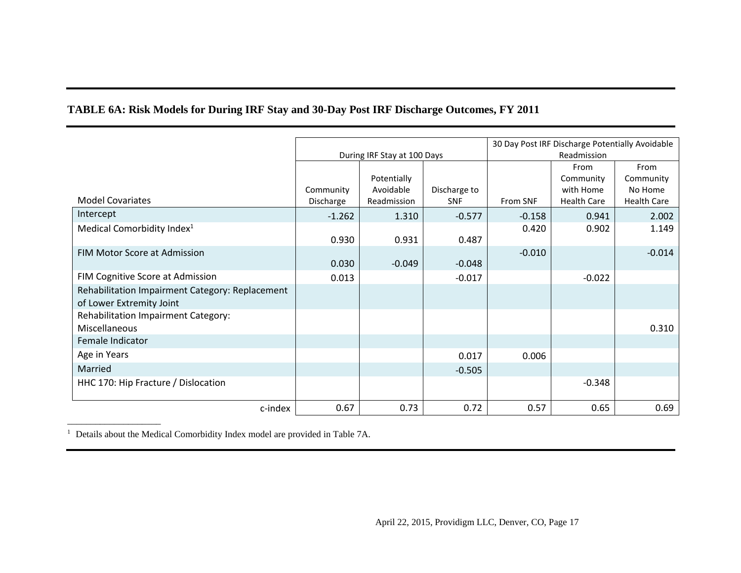## **TABLE 6A: Risk Models for During IRF Stay and 30-Day Post IRF Discharge Outcomes, FY 2011**

|                                                 |                             |             |              |          | 30 Day Post IRF Discharge Potentially Avoidable |                    |             |  |
|-------------------------------------------------|-----------------------------|-------------|--------------|----------|-------------------------------------------------|--------------------|-------------|--|
|                                                 | During IRF Stay at 100 Days |             |              |          |                                                 |                    | Readmission |  |
|                                                 |                             |             |              |          | From                                            | From               |             |  |
|                                                 |                             | Potentially |              |          | Community                                       | Community          |             |  |
|                                                 | Community                   | Avoidable   | Discharge to |          | with Home                                       | No Home            |             |  |
| <b>Model Covariates</b>                         | Discharge                   | Readmission | <b>SNF</b>   | From SNF | <b>Health Care</b>                              | <b>Health Care</b> |             |  |
| Intercept                                       | $-1.262$                    | 1.310       | $-0.577$     | $-0.158$ | 0.941                                           | 2.002              |             |  |
| Medical Comorbidity Index <sup>1</sup>          |                             |             |              | 0.420    | 0.902                                           | 1.149              |             |  |
|                                                 | 0.930                       | 0.931       | 0.487        |          |                                                 |                    |             |  |
| <b>FIM Motor Score at Admission</b>             |                             |             |              | $-0.010$ |                                                 | $-0.014$           |             |  |
|                                                 | 0.030                       | $-0.049$    | $-0.048$     |          |                                                 |                    |             |  |
| FIM Cognitive Score at Admission                | 0.013                       |             | $-0.017$     |          | $-0.022$                                        |                    |             |  |
| Rehabilitation Impairment Category: Replacement |                             |             |              |          |                                                 |                    |             |  |
| of Lower Extremity Joint                        |                             |             |              |          |                                                 |                    |             |  |
| Rehabilitation Impairment Category:             |                             |             |              |          |                                                 |                    |             |  |
| Miscellaneous                                   |                             |             |              |          |                                                 | 0.310              |             |  |
| Female Indicator                                |                             |             |              |          |                                                 |                    |             |  |
| Age in Years                                    |                             |             | 0.017        | 0.006    |                                                 |                    |             |  |
| Married                                         |                             |             | $-0.505$     |          |                                                 |                    |             |  |
| HHC 170: Hip Fracture / Dislocation             |                             |             |              |          | $-0.348$                                        |                    |             |  |
| c-index                                         | 0.67                        | 0.73        | 0.72         | 0.57     | 0.65                                            | 0.69               |             |  |

<sup>1</sup> Details about the Medical Comorbidity Index model are provided in Table 7A.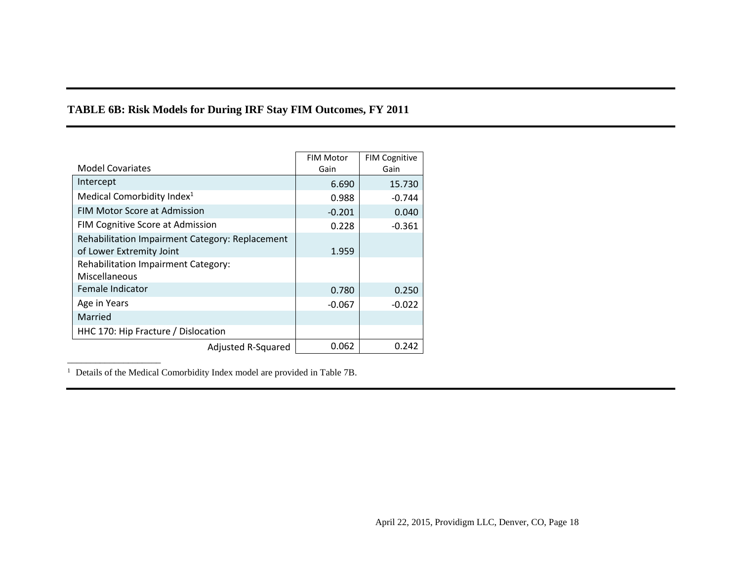## **TABLE 6B: Risk Models for During IRF Stay FIM Outcomes, FY 2011**

|                                                 | <b>FIM Motor</b> | <b>FIM Cognitive</b> |
|-------------------------------------------------|------------------|----------------------|
| <b>Model Covariates</b>                         | Gain             | Gain                 |
| Intercept                                       | 6.690            | 15.730               |
| Medical Comorbidity Index <sup>1</sup>          | 0.988            | $-0.744$             |
| <b>FIM Motor Score at Admission</b>             | $-0.201$         | 0.040                |
| FIM Cognitive Score at Admission                | 0.228            | $-0.361$             |
| Rehabilitation Impairment Category: Replacement |                  |                      |
| of Lower Extremity Joint                        | 1.959            |                      |
| Rehabilitation Impairment Category:             |                  |                      |
| Miscellaneous                                   |                  |                      |
| Female Indicator                                | 0.780            | 0.250                |
| Age in Years                                    | $-0.067$         | $-0.022$             |
| Married                                         |                  |                      |
| HHC 170: Hip Fracture / Dislocation             |                  |                      |
| Adjusted R-Squared                              | 0.062            | 0.242                |

<sup>1</sup> Details of the Medical Comorbidity Index model are provided in Table 7B.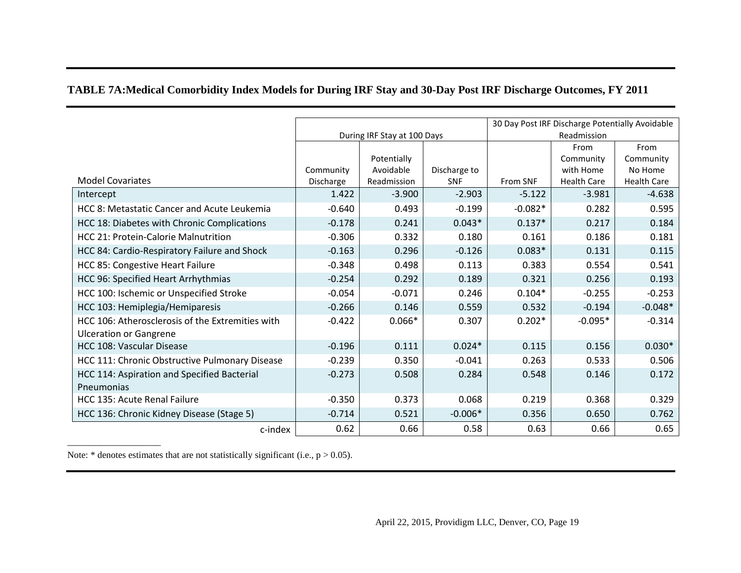## **TABLE 7A:Medical Comorbidity Index Models for During IRF Stay and 30-Day Post IRF Discharge Outcomes, FY 2011**

|                                                                                   |                             |             |              |             | 30 Day Post IRF Discharge Potentially Avoidable |                    |
|-----------------------------------------------------------------------------------|-----------------------------|-------------|--------------|-------------|-------------------------------------------------|--------------------|
|                                                                                   | During IRF Stay at 100 Days |             |              | Readmission |                                                 |                    |
|                                                                                   |                             |             |              |             | From                                            | From               |
|                                                                                   |                             | Potentially |              |             | Community                                       | Community          |
|                                                                                   | Community                   | Avoidable   | Discharge to |             | with Home                                       | No Home            |
| <b>Model Covariates</b>                                                           | Discharge                   | Readmission | <b>SNF</b>   | From SNF    | <b>Health Care</b>                              | <b>Health Care</b> |
| Intercept                                                                         | 1.422                       | $-3.900$    | $-2.903$     | $-5.122$    | $-3.981$                                        | $-4.638$           |
| HCC 8: Metastatic Cancer and Acute Leukemia                                       | $-0.640$                    | 0.493       | $-0.199$     | $-0.082*$   | 0.282                                           | 0.595              |
| HCC 18: Diabetes with Chronic Complications                                       | $-0.178$                    | 0.241       | $0.043*$     | $0.137*$    | 0.217                                           | 0.184              |
| <b>HCC 21: Protein-Calorie Malnutrition</b>                                       | $-0.306$                    | 0.332       | 0.180        | 0.161       | 0.186                                           | 0.181              |
| HCC 84: Cardio-Respiratory Failure and Shock                                      | $-0.163$                    | 0.296       | $-0.126$     | $0.083*$    | 0.131                                           | 0.115              |
| <b>HCC 85: Congestive Heart Failure</b>                                           | $-0.348$                    | 0.498       | 0.113        | 0.383       | 0.554                                           | 0.541              |
| HCC 96: Specified Heart Arrhythmias                                               | $-0.254$                    | 0.292       | 0.189        | 0.321       | 0.256                                           | 0.193              |
| HCC 100: Ischemic or Unspecified Stroke                                           | $-0.054$                    | $-0.071$    | 0.246        | $0.104*$    | $-0.255$                                        | $-0.253$           |
| HCC 103: Hemiplegia/Hemiparesis                                                   | $-0.266$                    | 0.146       | 0.559        | 0.532       | $-0.194$                                        | $-0.048*$          |
| HCC 106: Atherosclerosis of the Extremities with<br><b>Ulceration or Gangrene</b> | $-0.422$                    | $0.066*$    | 0.307        | $0.202*$    | $-0.095*$                                       | $-0.314$           |
| HCC 108: Vascular Disease                                                         | $-0.196$                    | 0.111       | $0.024*$     | 0.115       | 0.156                                           | $0.030*$           |
| HCC 111: Chronic Obstructive Pulmonary Disease                                    | $-0.239$                    | 0.350       | $-0.041$     | 0.263       | 0.533                                           | 0.506              |
| HCC 114: Aspiration and Specified Bacterial<br><b>Pneumonias</b>                  | $-0.273$                    | 0.508       | 0.284        | 0.548       | 0.146                                           | 0.172              |
| HCC 135: Acute Renal Failure                                                      | $-0.350$                    | 0.373       | 0.068        | 0.219       | 0.368                                           | 0.329              |
| HCC 136: Chronic Kidney Disease (Stage 5)                                         | $-0.714$                    | 0.521       | $-0.006*$    | 0.356       | 0.650                                           | 0.762              |
| c-index                                                                           | 0.62                        | 0.66        | 0.58         | 0.63        | 0.66                                            | 0.65               |
|                                                                                   |                             |             |              |             |                                                 |                    |

Note:  $*$  denotes estimates that are not statistically significant (i.e.,  $p > 0.05$ ).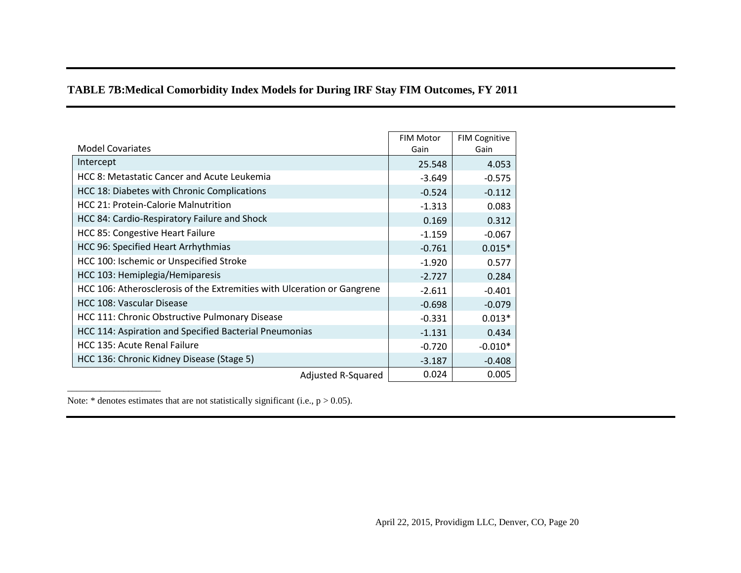## **TABLE 7B:Medical Comorbidity Index Models for During IRF Stay FIM Outcomes, FY 2011**

| <b>Model Covariates</b>                                                 | <b>FIM Motor</b><br>Gain | <b>FIM Cognitive</b><br>Gain |
|-------------------------------------------------------------------------|--------------------------|------------------------------|
| Intercept                                                               | 25.548                   | 4.053                        |
| HCC 8: Metastatic Cancer and Acute Leukemia                             | $-3.649$                 | $-0.575$                     |
| HCC 18: Diabetes with Chronic Complications                             | $-0.524$                 | $-0.112$                     |
| <b>HCC 21: Protein-Calorie Malnutrition</b>                             | $-1.313$                 | 0.083                        |
| HCC 84: Cardio-Respiratory Failure and Shock                            | 0.169                    | 0.312                        |
| <b>HCC 85: Congestive Heart Failure</b>                                 | $-1.159$                 | $-0.067$                     |
| HCC 96: Specified Heart Arrhythmias                                     | $-0.761$                 | $0.015*$                     |
| HCC 100: Ischemic or Unspecified Stroke                                 | $-1.920$                 | 0.577                        |
| HCC 103: Hemiplegia/Hemiparesis                                         | $-2.727$                 | 0.284                        |
| HCC 106: Atherosclerosis of the Extremities with Ulceration or Gangrene | $-2.611$                 | $-0.401$                     |
| HCC 108: Vascular Disease                                               | $-0.698$                 | $-0.079$                     |
| HCC 111: Chronic Obstructive Pulmonary Disease                          | $-0.331$                 | $0.013*$                     |
| HCC 114: Aspiration and Specified Bacterial Pneumonias                  | $-1.131$                 | 0.434                        |
| HCC 135: Acute Renal Failure                                            | $-0.720$                 | $-0.010*$                    |
| HCC 136: Chronic Kidney Disease (Stage 5)                               | $-3.187$                 | $-0.408$                     |
| Adjusted R-Squared                                                      | 0.024                    | 0.005                        |

Note:  $*$  denotes estimates that are not statistically significant (i.e.,  $p > 0.05$ ).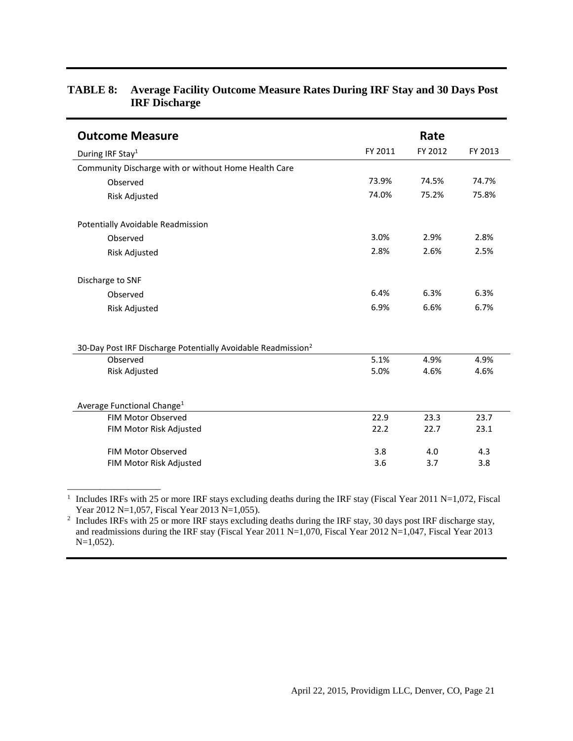| <b>Outcome Measure</b>                                                   |         | Rate    |         |
|--------------------------------------------------------------------------|---------|---------|---------|
| During IRF Stay <sup>1</sup>                                             | FY 2011 | FY 2012 | FY 2013 |
| Community Discharge with or without Home Health Care                     |         |         |         |
| Observed                                                                 | 73.9%   | 74.5%   | 74.7%   |
| Risk Adjusted                                                            | 74.0%   | 75.2%   | 75.8%   |
| Potentially Avoidable Readmission                                        |         |         |         |
| Observed                                                                 | 3.0%    | 2.9%    | 2.8%    |
| <b>Risk Adjusted</b>                                                     | 2.8%    | 2.6%    | 2.5%    |
| Discharge to SNF                                                         |         |         |         |
| Observed                                                                 | 6.4%    | 6.3%    | 6.3%    |
| <b>Risk Adjusted</b>                                                     | 6.9%    | 6.6%    | 6.7%    |
| 30-Day Post IRF Discharge Potentially Avoidable Readmission <sup>2</sup> |         |         |         |
| Observed                                                                 | 5.1%    | 4.9%    | 4.9%    |
| <b>Risk Adjusted</b>                                                     | 5.0%    | 4.6%    | 4.6%    |
| Average Functional Change <sup>1</sup>                                   |         |         |         |
| <b>FIM Motor Observed</b>                                                | 22.9    | 23.3    | 23.7    |
| FIM Motor Risk Adjusted                                                  | 22.2    | 22.7    | 23.1    |
| FIM Motor Observed                                                       | 3.8     | 4.0     | 4.3     |
| FIM Motor Risk Adjusted                                                  | 3.6     | 3.7     | 3.8     |

#### **TABLE 8: Average Facility Outcome Measure Rates During IRF Stay and 30 Days Post IRF Discharge**

<sup>1</sup> Includes IRFs with 25 or more IRF stays excluding deaths during the IRF stay (Fiscal Year 2011 N=1,072, Fiscal Year 2012 N=1,057, Fiscal Year 2013 N=1,055).

\_\_\_\_\_\_\_\_\_\_\_\_\_\_\_\_\_\_\_\_

<sup>2</sup> Includes IRFs with 25 or more IRF stays excluding deaths during the IRF stay, 30 days post IRF discharge stay, and readmissions during the IRF stay (Fiscal Year 2011 N=1,070, Fiscal Year 2012 N=1,047, Fiscal Year 2013 N=1,052).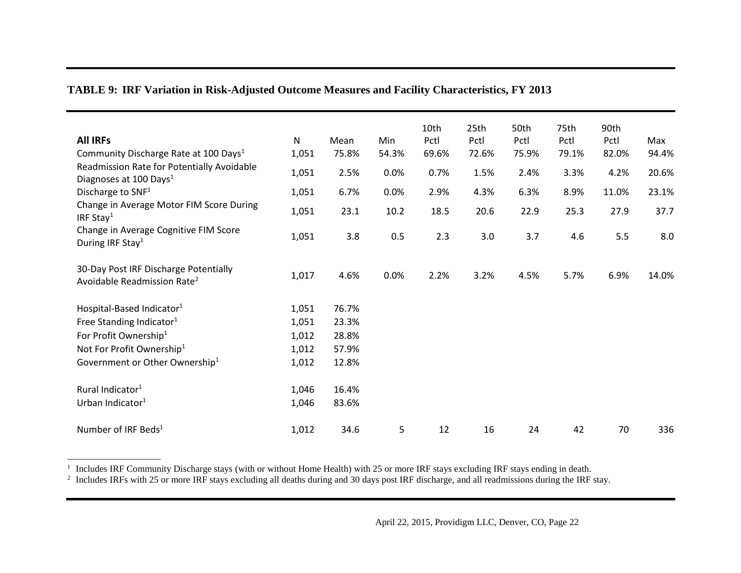## **TABLE 9: IRF Variation in Risk-Adjusted Outcome Measures and Facility Characteristics, FY 2013**

| <b>All IRFs</b><br>Community Discharge Rate at 100 Days <sup>1</sup>             | $\mathsf{N}$<br>1,051 | Mean<br>75.8% | Min<br>54.3% | 10th<br>Pctl<br>69.6% | 25th<br>Pctl<br>72.6% | 50th<br>Pctl<br>75.9% | 75th<br>Pctl<br>79.1% | 90th<br>Pctl<br>82.0% | Max<br>94.4% |
|----------------------------------------------------------------------------------|-----------------------|---------------|--------------|-----------------------|-----------------------|-----------------------|-----------------------|-----------------------|--------------|
| Readmission Rate for Potentially Avoidable<br>Diagnoses at 100 Days <sup>1</sup> | 1,051                 | 2.5%          | 0.0%         | 0.7%                  | 1.5%                  | 2.4%                  | 3.3%                  | 4.2%                  | 20.6%        |
| Discharge to SNF <sup>1</sup>                                                    | 1,051                 | 6.7%          | 0.0%         | 2.9%                  | 4.3%                  | 6.3%                  | 8.9%                  | 11.0%                 | 23.1%        |
| Change in Average Motor FIM Score During<br>IRF Stay <sup>1</sup>                | 1,051                 | 23.1          | 10.2         | 18.5                  | 20.6                  | 22.9                  | 25.3                  | 27.9                  | 37.7         |
| Change in Average Cognitive FIM Score<br>During IRF Stay <sup>1</sup>            | 1,051                 | 3.8           | 0.5          | 2.3                   | 3.0                   | 3.7                   | 4.6                   | 5.5                   | 8.0          |
| 30-Day Post IRF Discharge Potentially<br>Avoidable Readmission Rate <sup>2</sup> | 1,017                 | 4.6%          | 0.0%         | 2.2%                  | 3.2%                  | 4.5%                  | 5.7%                  | 6.9%                  | 14.0%        |
| Hospital-Based Indicator <sup>1</sup>                                            | 1,051                 | 76.7%         |              |                       |                       |                       |                       |                       |              |
| Free Standing Indicator <sup>1</sup>                                             | 1,051                 | 23.3%         |              |                       |                       |                       |                       |                       |              |
| For Profit Ownership <sup>1</sup>                                                | 1,012                 | 28.8%         |              |                       |                       |                       |                       |                       |              |
| Not For Profit Ownership <sup>1</sup>                                            | 1,012                 | 57.9%         |              |                       |                       |                       |                       |                       |              |
| Government or Other Ownership <sup>1</sup>                                       | 1,012                 | 12.8%         |              |                       |                       |                       |                       |                       |              |
| Rural Indicator <sup>1</sup>                                                     | 1,046                 | 16.4%         |              |                       |                       |                       |                       |                       |              |
| Urban Indicator <sup>1</sup>                                                     | 1,046                 | 83.6%         |              |                       |                       |                       |                       |                       |              |
| Number of IRF Beds <sup>1</sup>                                                  | 1,012                 | 34.6          | 5            | 12                    | 16                    | 24                    | 42                    | 70                    | 336          |

\_\_\_\_\_\_\_\_\_\_\_\_\_\_\_\_\_\_\_\_

<sup>1</sup> Includes IRF Community Discharge stays (with or without Home Health) with 25 or more IRF stays excluding IRF stays ending in death.<br><sup>2</sup> Includes IRFs with 25 or more IRF stays excluding all deaths during and 30 days p

April 22, 2015, Providigm LLC, Denver, CO, Page 22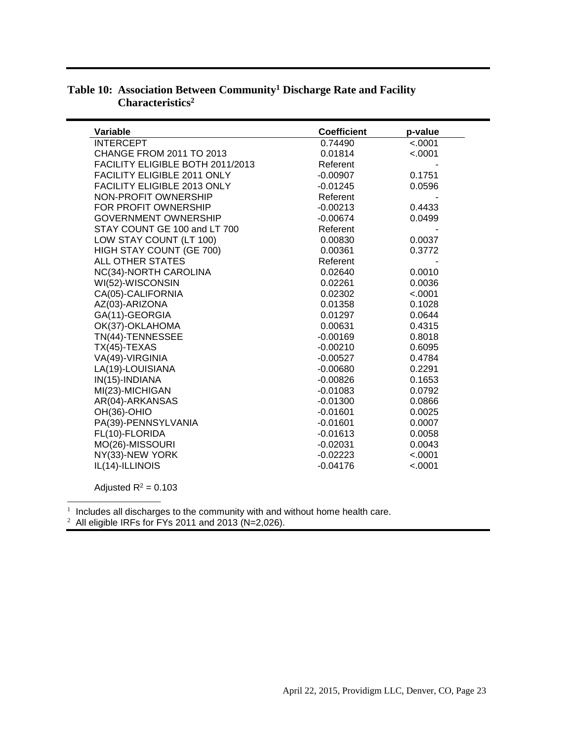| Variable                           | <b>Coefficient</b> | p-value |
|------------------------------------|--------------------|---------|
| <b>INTERCEPT</b>                   | 0.74490            | < .0001 |
| CHANGE FROM 2011 TO 2013           | 0.01814            | < .0001 |
| FACILITY ELIGIBLE BOTH 2011/2013   | Referent           |         |
| FACILITY ELIGIBLE 2011 ONLY        | $-0.00907$         | 0.1751  |
| <b>FACILITY ELIGIBLE 2013 ONLY</b> | $-0.01245$         | 0.0596  |
| NON-PROFIT OWNERSHIP               | Referent           |         |
| FOR PROFIT OWNERSHIP               | $-0.00213$         | 0.4433  |
| <b>GOVERNMENT OWNERSHIP</b>        | $-0.00674$         | 0.0499  |
| STAY COUNT GE 100 and LT 700       | Referent           |         |
| LOW STAY COUNT (LT 100)            | 0.00830            | 0.0037  |
| HIGH STAY COUNT (GE 700)           | 0.00361            | 0.3772  |
| <b>ALL OTHER STATES</b>            | Referent           |         |
| NC(34)-NORTH CAROLINA              | 0.02640            | 0.0010  |
| WI(52)-WISCONSIN                   | 0.02261            | 0.0036  |
| CA(05)-CALIFORNIA                  | 0.02302            | < .0001 |
| AZ(03)-ARIZONA                     | 0.01358            | 0.1028  |
| GA(11)-GEORGIA                     | 0.01297            | 0.0644  |
| OK(37)-OKLAHOMA                    | 0.00631            | 0.4315  |
| TN(44)-TENNESSEE                   | $-0.00169$         | 0.8018  |
| $TX(45)-TEXAS$                     | $-0.00210$         | 0.6095  |
| VA(49)-VIRGINIA                    | $-0.00527$         | 0.4784  |
| LA(19)-LOUISIANA                   | $-0.00680$         | 0.2291  |
| IN(15)-INDIANA                     | $-0.00826$         | 0.1653  |
| MI(23)-MICHIGAN                    | $-0.01083$         | 0.0792  |
| AR(04)-ARKANSAS                    | $-0.01300$         | 0.0866  |
| OH(36)-OHIO                        | $-0.01601$         | 0.0025  |
| PA(39)-PENNSYLVANIA                | $-0.01601$         | 0.0007  |
| FL(10)-FLORIDA                     | $-0.01613$         | 0.0058  |
| MO(26)-MISSOURI                    | $-0.02031$         | 0.0043  |
| NY(33)-NEW YORK                    | $-0.02223$         | < .0001 |
| IL(14)-ILLINOIS                    | $-0.04176$         | < .0001 |

#### **Table 10: Association Between Community<sup>1</sup> Discharge Rate and Facility Characteristics<sup>2</sup>**

Adjusted  $R^2$  = 0.103

\_\_\_\_\_\_\_\_\_\_\_\_\_\_\_\_\_\_\_\_

 $1$  Includes all discharges to the community with and without home health care.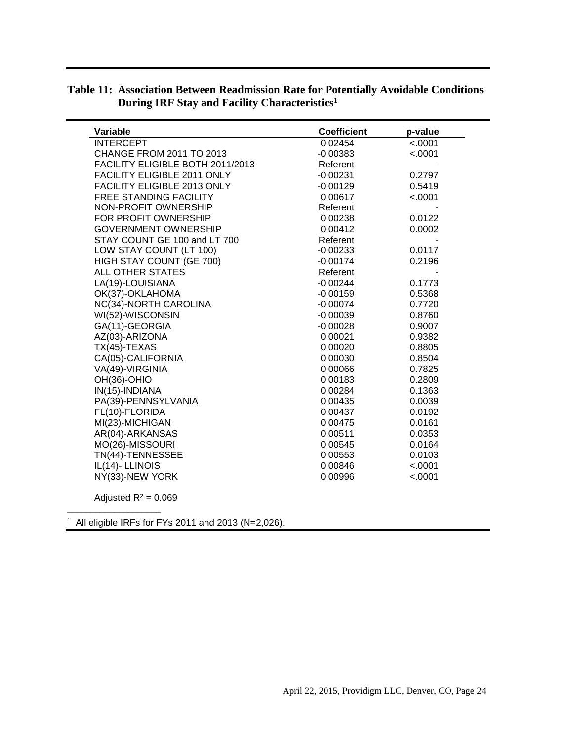| Variable                           | <b>Coefficient</b> | p-value |
|------------------------------------|--------------------|---------|
| <b>INTERCEPT</b>                   | 0.02454            | < .0001 |
| CHANGE FROM 2011 TO 2013           | $-0.00383$         | < .0001 |
| FACILITY ELIGIBLE BOTH 2011/2013   | Referent           |         |
| FACILITY ELIGIBLE 2011 ONLY        | $-0.00231$         | 0.2797  |
| <b>FACILITY ELIGIBLE 2013 ONLY</b> | $-0.00129$         | 0.5419  |
| <b>FREE STANDING FACILITY</b>      | 0.00617            | < .0001 |
| NON-PROFIT OWNERSHIP               | Referent           |         |
| FOR PROFIT OWNERSHIP               | 0.00238            | 0.0122  |
| <b>GOVERNMENT OWNERSHIP</b>        | 0.00412            | 0.0002  |
| STAY COUNT GE 100 and LT 700       | Referent           |         |
| LOW STAY COUNT (LT 100)            | $-0.00233$         | 0.0117  |
| HIGH STAY COUNT (GE 700)           | $-0.00174$         | 0.2196  |
| <b>ALL OTHER STATES</b>            | Referent           |         |
| LA(19)-LOUISIANA                   | $-0.00244$         | 0.1773  |
| OK(37)-OKLAHOMA                    | $-0.00159$         | 0.5368  |
| NC(34)-NORTH CAROLINA              | $-0.00074$         | 0.7720  |
| WI(52)-WISCONSIN                   | $-0.00039$         | 0.8760  |
| GA(11)-GEORGIA                     | $-0.00028$         | 0.9007  |
| AZ(03)-ARIZONA                     | 0.00021            | 0.9382  |
| $TX(45)-TEXAS$                     | 0.00020            | 0.8805  |
| CA(05)-CALIFORNIA                  | 0.00030            | 0.8504  |
| VA(49)-VIRGINIA                    | 0.00066            | 0.7825  |
| OH(36)-OHIO                        | 0.00183            | 0.2809  |
| IN(15)-INDIANA                     | 0.00284            | 0.1363  |
| PA(39)-PENNSYLVANIA                | 0.00435            | 0.0039  |
| FL(10)-FLORIDA                     | 0.00437            | 0.0192  |
| MI(23)-MICHIGAN                    | 0.00475            | 0.0161  |
| AR(04)-ARKANSAS                    | 0.00511            | 0.0353  |
| MO(26)-MISSOURI                    | 0.00545            | 0.0164  |
| TN(44)-TENNESSEE                   | 0.00553            | 0.0103  |
| IL(14)-ILLINOIS                    | 0.00846            | < .0001 |
| NY(33)-NEW YORK                    | 0.00996            | < .0001 |
|                                    |                    |         |

#### **Table 11: Association Between Readmission Rate for Potentially Avoidable Conditions During IRF Stay and Facility Characteristics<sup>1</sup>**

Adjusted  $R^2 = 0.069$ 

\_\_\_\_\_\_\_\_\_\_\_\_\_\_\_\_\_\_\_\_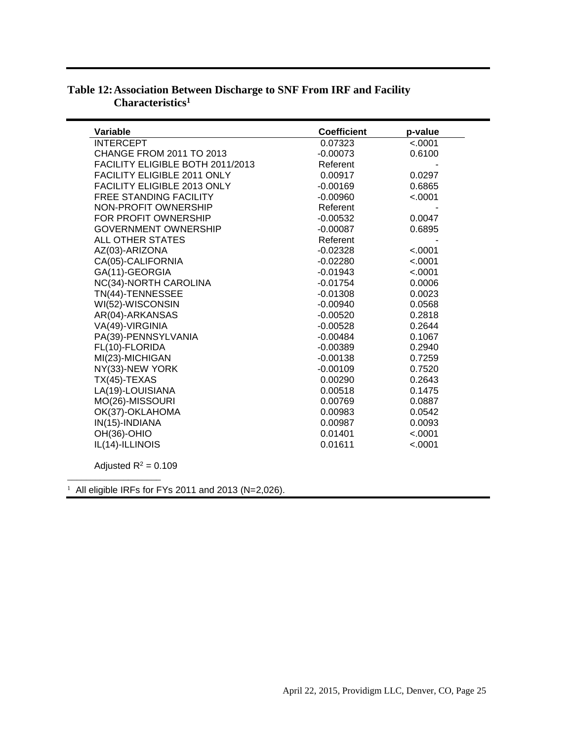| Variable                         | <b>Coefficient</b> | p-value |
|----------------------------------|--------------------|---------|
| <b>INTERCEPT</b>                 | 0.07323            | < .0001 |
| <b>CHANGE FROM 2011 TO 2013</b>  | $-0.00073$         | 0.6100  |
| FACILITY ELIGIBLE BOTH 2011/2013 | Referent           |         |
| FACILITY ELIGIBLE 2011 ONLY      | 0.00917            | 0.0297  |
| FACILITY ELIGIBLE 2013 ONLY      | $-0.00169$         | 0.6865  |
| <b>FREE STANDING FACILITY</b>    | $-0.00960$         | < .0001 |
| NON-PROFIT OWNERSHIP             | Referent           |         |
| FOR PROFIT OWNERSHIP             | $-0.00532$         | 0.0047  |
| <b>GOVERNMENT OWNERSHIP</b>      | $-0.00087$         | 0.6895  |
| ALL OTHER STATES                 | Referent           |         |
| AZ(03)-ARIZONA                   | $-0.02328$         | < .0001 |
| CA(05)-CALIFORNIA                | $-0.02280$         | < .0001 |
| GA(11)-GEORGIA                   | $-0.01943$         | < .0001 |
| NC(34)-NORTH CAROLINA            | $-0.01754$         | 0.0006  |
| TN(44)-TENNESSEE                 | $-0.01308$         | 0.0023  |
| WI(52)-WISCONSIN                 | $-0.00940$         | 0.0568  |
| AR(04)-ARKANSAS                  | $-0.00520$         | 0.2818  |
| VA(49)-VIRGINIA                  | $-0.00528$         | 0.2644  |
| PA(39)-PENNSYLVANIA              | $-0.00484$         | 0.1067  |
| FL(10)-FLORIDA                   | $-0.00389$         | 0.2940  |
| MI(23)-MICHIGAN                  | $-0.00138$         | 0.7259  |
| NY(33)-NEW YORK                  | $-0.00109$         | 0.7520  |
| $TX(45)-TEXAS$                   | 0.00290            | 0.2643  |
| LA(19)-LOUISIANA                 | 0.00518            | 0.1475  |
| MO(26)-MISSOURI                  | 0.00769            | 0.0887  |
| OK(37)-OKLAHOMA                  | 0.00983            | 0.0542  |
| IN(15)-INDIANA                   | 0.00987            | 0.0093  |
| OH(36)-OHIO                      | 0.01401            | < .0001 |
| IL(14)-ILLINOIS                  | 0.01611            | < .0001 |

#### **Table 12:Association Between Discharge to SNF From IRF and Facility Characteristics<sup>1</sup>**

Adjusted  $R^2 = 0.109$ 

\_\_\_\_\_\_\_\_\_\_\_\_\_\_\_\_\_\_\_\_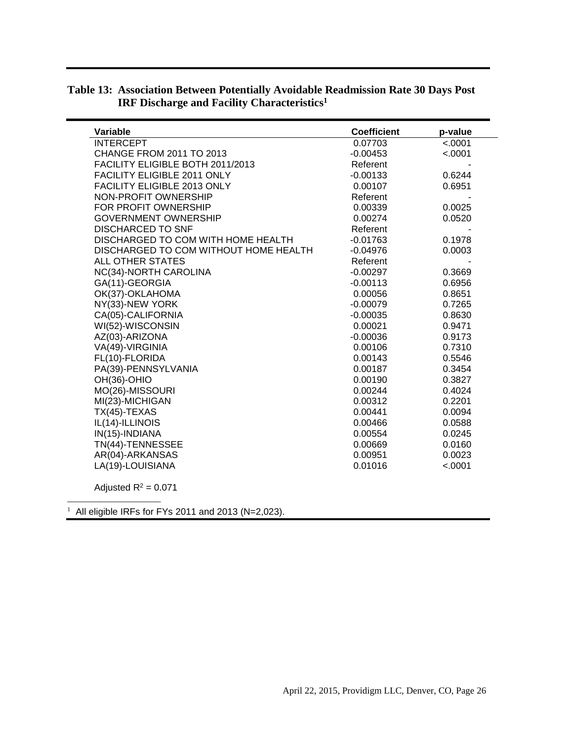| Variable                              | <b>Coefficient</b> | p-value |
|---------------------------------------|--------------------|---------|
| <b>INTERCEPT</b>                      | 0.07703            | < .0001 |
| CHANGE FROM 2011 TO 2013              | $-0.00453$         | < .0001 |
| FACILITY ELIGIBLE BOTH 2011/2013      | Referent           |         |
| FACILITY ELIGIBLE 2011 ONLY           | $-0.00133$         | 0.6244  |
| FACILITY ELIGIBLE 2013 ONLY           | 0.00107            | 0.6951  |
| NON-PROFIT OWNERSHIP                  | Referent           |         |
| FOR PROFIT OWNERSHIP                  | 0.00339            | 0.0025  |
| <b>GOVERNMENT OWNERSHIP</b>           | 0.00274            | 0.0520  |
| <b>DISCHARCED TO SNF</b>              | Referent           |         |
| DISCHARGED TO COM WITH HOME HEALTH    | $-0.01763$         | 0.1978  |
| DISCHARGED TO COM WITHOUT HOME HEALTH | $-0.04976$         | 0.0003  |
| <b>ALL OTHER STATES</b>               | Referent           |         |
| NC(34)-NORTH CAROLINA                 | $-0.00297$         | 0.3669  |
| GA(11)-GEORGIA                        | $-0.00113$         | 0.6956  |
| OK(37)-OKLAHOMA                       | 0.00056            | 0.8651  |
| NY(33)-NEW YORK                       | $-0.00079$         | 0.7265  |
| CA(05)-CALIFORNIA                     | $-0.00035$         | 0.8630  |
| WI(52)-WISCONSIN                      | 0.00021            | 0.9471  |
| AZ(03)-ARIZONA                        | $-0.00036$         | 0.9173  |
| VA(49)-VIRGINIA                       | 0.00106            | 0.7310  |
| FL(10)-FLORIDA                        | 0.00143            | 0.5546  |
| PA(39)-PENNSYLVANIA                   | 0.00187            | 0.3454  |
| OH(36)-OHIO                           | 0.00190            | 0.3827  |
| MO(26)-MISSOURI                       | 0.00244            | 0.4024  |
| MI(23)-MICHIGAN                       | 0.00312            | 0.2201  |
| $TX(45)-TEXAS$                        | 0.00441            | 0.0094  |
| IL(14)-ILLINOIS                       | 0.00466            | 0.0588  |
| IN(15)-INDIANA                        | 0.00554            | 0.0245  |
| TN(44)-TENNESSEE                      | 0.00669            | 0.0160  |
| AR(04)-ARKANSAS                       | 0.00951            | 0.0023  |
| LA(19)-LOUISIANA                      | 0.01016            | < .0001 |
| Adjusted $R^2 = 0.071$                |                    |         |

#### **Table 13: Association Between Potentially Avoidable Readmission Rate 30 Days Post IRF Discharge and Facility Characteristics<sup>1</sup>**

\_\_\_\_\_\_\_\_\_\_\_\_\_\_\_\_\_\_\_\_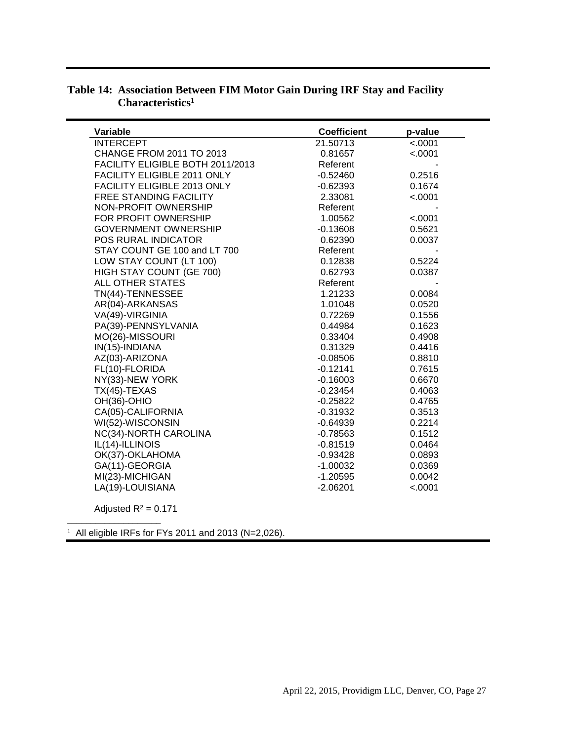| Variable                         | <b>Coefficient</b> | p-value |
|----------------------------------|--------------------|---------|
| <b>INTERCEPT</b>                 | 21.50713           | < .0001 |
| CHANGE FROM 2011 TO 2013         | 0.81657            | < .0001 |
| FACILITY ELIGIBLE BOTH 2011/2013 | Referent           |         |
| FACILITY ELIGIBLE 2011 ONLY      | $-0.52460$         | 0.2516  |
| FACILITY ELIGIBLE 2013 ONLY      | $-0.62393$         | 0.1674  |
| <b>FREE STANDING FACILITY</b>    | 2.33081            | < .0001 |
| NON-PROFIT OWNERSHIP             | Referent           |         |
| FOR PROFIT OWNERSHIP             | 1.00562            | < .0001 |
| <b>GOVERNMENT OWNERSHIP</b>      | $-0.13608$         | 0.5621  |
| POS RURAL INDICATOR              | 0.62390            | 0.0037  |
| STAY COUNT GE 100 and LT 700     | Referent           |         |
| LOW STAY COUNT (LT 100)          | 0.12838            | 0.5224  |
| HIGH STAY COUNT (GE 700)         | 0.62793            | 0.0387  |
| <b>ALL OTHER STATES</b>          | Referent           |         |
| TN(44)-TENNESSEE                 | 1.21233            | 0.0084  |
| AR(04)-ARKANSAS                  | 1.01048            | 0.0520  |
| VA(49)-VIRGINIA                  | 0.72269            | 0.1556  |
| PA(39)-PENNSYLVANIA              | 0.44984            | 0.1623  |
| MO(26)-MISSOURI                  | 0.33404            | 0.4908  |
| IN(15)-INDIANA                   | 0.31329            | 0.4416  |
| AZ(03)-ARIZONA                   | $-0.08506$         | 0.8810  |
| FL(10)-FLORIDA                   | $-0.12141$         | 0.7615  |
| NY(33)-NEW YORK                  | $-0.16003$         | 0.6670  |
| $TX(45)-TEXAS$                   | $-0.23454$         | 0.4063  |
| OH(36)-OHIO                      | $-0.25822$         | 0.4765  |
| CA(05)-CALIFORNIA                | $-0.31932$         | 0.3513  |
| WI(52)-WISCONSIN                 | $-0.64939$         | 0.2214  |
| NC(34)-NORTH CAROLINA            | $-0.78563$         | 0.1512  |
| IL(14)-ILLINOIS                  | $-0.81519$         | 0.0464  |
| OK(37)-OKLAHOMA                  | $-0.93428$         | 0.0893  |
| GA(11)-GEORGIA                   | $-1.00032$         | 0.0369  |
| MI(23)-MICHIGAN                  | $-1.20595$         | 0.0042  |
| LA(19)-LOUISIANA                 | $-2.06201$         | < .0001 |
|                                  |                    |         |

#### **Table 14: Association Between FIM Motor Gain During IRF Stay and Facility Characteristics<sup>1</sup>**

Adjusted  $R^2 = 0.171$ 

\_\_\_\_\_\_\_\_\_\_\_\_\_\_\_\_\_\_\_\_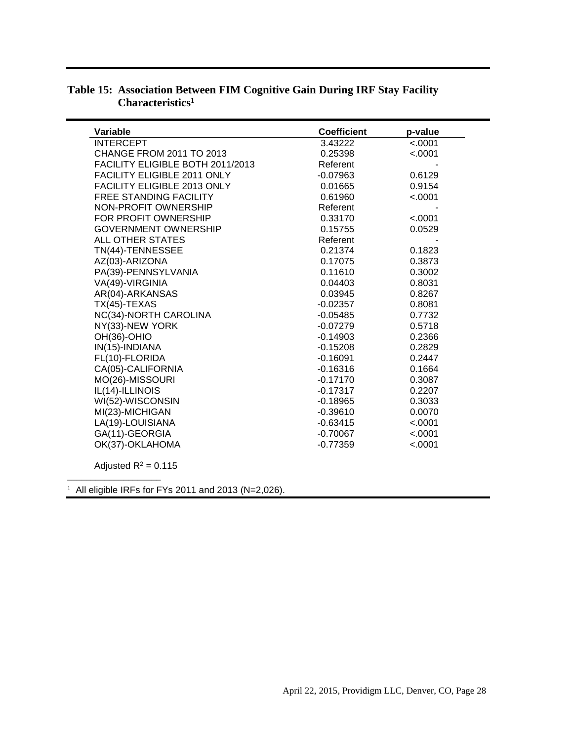| <b>Variable</b>                    | <b>Coefficient</b> | p-value  |
|------------------------------------|--------------------|----------|
| <b>INTERCEPT</b>                   | 3.43222            | < .0001  |
| <b>CHANGE FROM 2011 TO 2013</b>    | 0.25398            | < .0001  |
| FACILITY ELIGIBLE BOTH 2011/2013   | Referent           |          |
| FACILITY ELIGIBLE 2011 ONLY        | $-0.07963$         | 0.6129   |
| <b>FACILITY ELIGIBLE 2013 ONLY</b> | 0.01665            | 0.9154   |
| <b>FREE STANDING FACILITY</b>      | 0.61960            | $-.0001$ |
| NON-PROFIT OWNERSHIP               | Referent           |          |
| FOR PROFIT OWNERSHIP               | 0.33170            | < .0001  |
| <b>GOVERNMENT OWNERSHIP</b>        | 0.15755            | 0.0529   |
| ALL OTHER STATES                   | Referent           |          |
| TN(44)-TENNESSEE                   | 0.21374            | 0.1823   |
| AZ(03)-ARIZONA                     | 0.17075            | 0.3873   |
| PA(39)-PENNSYLVANIA                | 0.11610            | 0.3002   |
| VA(49)-VIRGINIA                    | 0.04403            | 0.8031   |
| AR(04)-ARKANSAS                    | 0.03945            | 0.8267   |
| $TX(45)$ -TEXAS                    | $-0.02357$         | 0.8081   |
| NC(34)-NORTH CAROLINA              | $-0.05485$         | 0.7732   |
| NY(33)-NEW YORK                    | $-0.07279$         | 0.5718   |
| OH(36)-OHIO                        | $-0.14903$         | 0.2366   |
| IN(15)-INDIANA                     | $-0.15208$         | 0.2829   |
| FL(10)-FLORIDA                     | $-0.16091$         | 0.2447   |
| CA(05)-CALIFORNIA                  | $-0.16316$         | 0.1664   |
| MO(26)-MISSOURI                    | $-0.17170$         | 0.3087   |
| IL(14)-ILLINOIS                    | $-0.17317$         | 0.2207   |
| WI(52)-WISCONSIN                   | $-0.18965$         | 0.3033   |
| MI(23)-MICHIGAN                    | $-0.39610$         | 0.0070   |
| LA(19)-LOUISIANA                   | $-0.63415$         | < .0001  |
| GA(11)-GEORGIA                     | $-0.70067$         | < .0001  |
| OK(37)-OKLAHOMA                    | $-0.77359$         | < .0001  |
|                                    |                    |          |

### **Table 15: Association Between FIM Cognitive Gain During IRF Stay Facility Characteristics<sup>1</sup>**

Adjusted  $R^2 = 0.115$ 

\_\_\_\_\_\_\_\_\_\_\_\_\_\_\_\_\_\_\_\_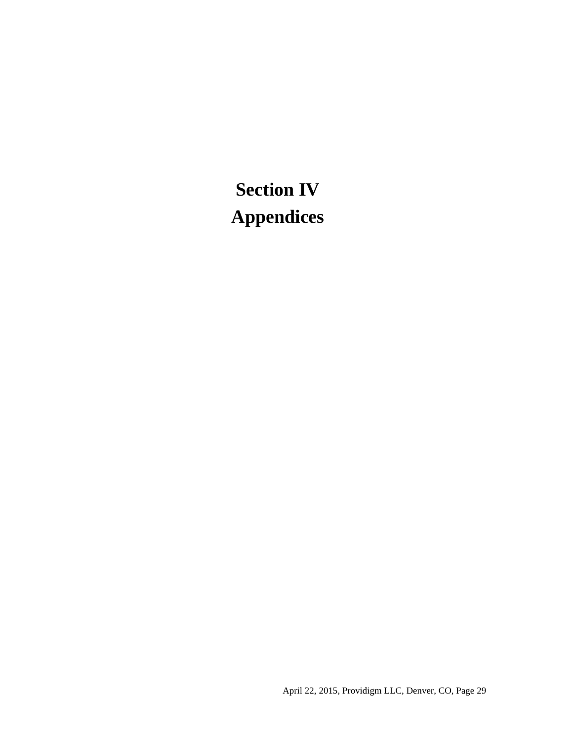# **Section IV Appendices**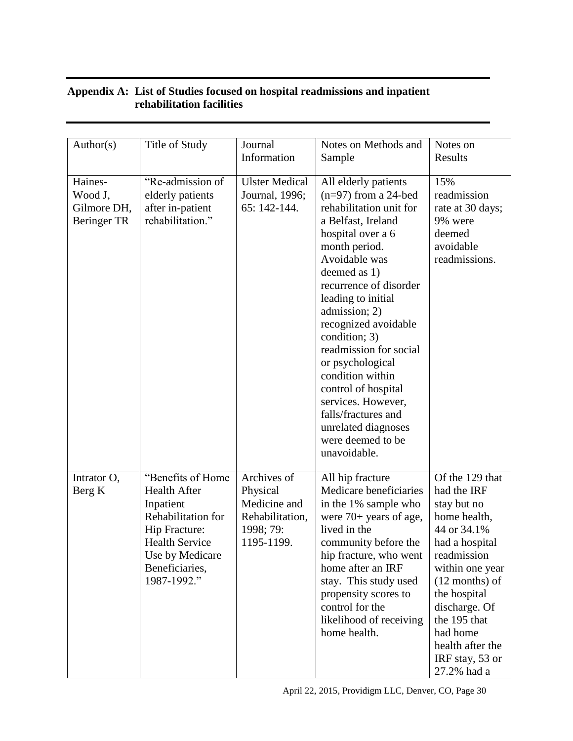#### **Appendix A: List of Studies focused on hospital readmissions and inpatient rehabilitation facilities**

| Author(s)                                        | Title of Study                                                                                                                                                            | Journal<br>Information                                                                | Notes on Methods and<br>Sample                                                                                                                                                                                                                                                                                                                                                                                                                                                     | Notes on<br>Results                                                                                                                                                                                                                                                     |
|--------------------------------------------------|---------------------------------------------------------------------------------------------------------------------------------------------------------------------------|---------------------------------------------------------------------------------------|------------------------------------------------------------------------------------------------------------------------------------------------------------------------------------------------------------------------------------------------------------------------------------------------------------------------------------------------------------------------------------------------------------------------------------------------------------------------------------|-------------------------------------------------------------------------------------------------------------------------------------------------------------------------------------------------------------------------------------------------------------------------|
| Haines-<br>Wood J,<br>Gilmore DH,<br>Beringer TR | "Re-admission of<br>elderly patients<br>after in-patient<br>rehabilitation."                                                                                              | <b>Ulster Medical</b><br>Journal, 1996;<br>65: 142-144.                               | All elderly patients<br>$(n=97)$ from a 24-bed<br>rehabilitation unit for<br>a Belfast, Ireland<br>hospital over a 6<br>month period.<br>Avoidable was<br>deemed as 1)<br>recurrence of disorder<br>leading to initial<br>admission; 2)<br>recognized avoidable<br>condition; 3)<br>readmission for social<br>or psychological<br>condition within<br>control of hospital<br>services. However,<br>falls/fractures and<br>unrelated diagnoses<br>were deemed to be<br>unavoidable. | 15%<br>readmission<br>rate at 30 days;<br>9% were<br>deemed<br>avoidable<br>readmissions.                                                                                                                                                                               |
| Intrator O,<br>Berg K                            | "Benefits of Home<br><b>Health After</b><br>Inpatient<br>Rehabilitation for<br>Hip Fracture:<br><b>Health Service</b><br>Use by Medicare<br>Beneficiaries,<br>1987-1992." | Archives of<br>Physical<br>Medicine and<br>Rehabilitation,<br>1998; 79:<br>1195-1199. | All hip fracture<br>Medicare beneficiaries<br>in the 1% sample who<br>were $70+$ years of age,<br>lived in the<br>community before the<br>hip fracture, who went<br>home after an IRF<br>stay. This study used<br>propensity scores to<br>control for the<br>likelihood of receiving<br>home health.                                                                                                                                                                               | Of the 129 that<br>had the IRF<br>stay but no<br>home health,<br>44 or 34.1%<br>had a hospital<br>readmission<br>within one year<br>$(12$ months) of<br>the hospital<br>discharge. Of<br>the 195 that<br>had home<br>health after the<br>IRF stay, 53 or<br>27.2% had a |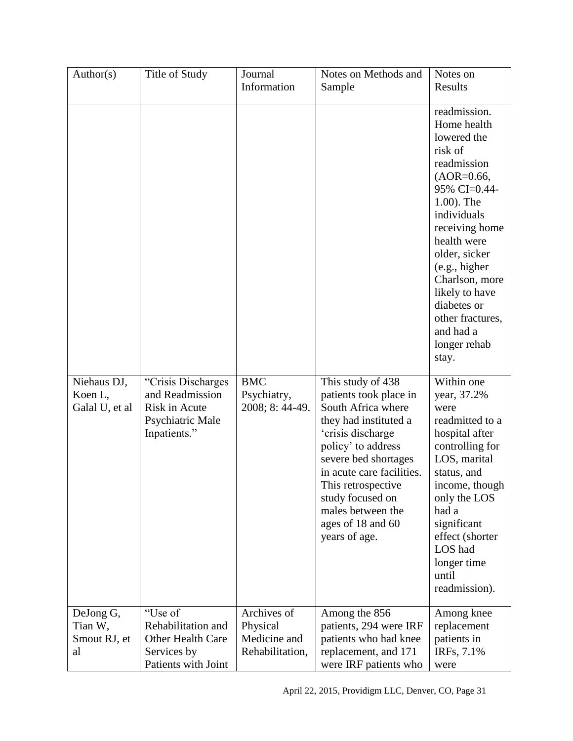| Author(s)                                  | Title of Study                                                                              | Journal                                                    | Notes on Methods and                                                                                                                                                                                                                                                                            | Notes on                                                                                                                                                                                                                                                                                                          |
|--------------------------------------------|---------------------------------------------------------------------------------------------|------------------------------------------------------------|-------------------------------------------------------------------------------------------------------------------------------------------------------------------------------------------------------------------------------------------------------------------------------------------------|-------------------------------------------------------------------------------------------------------------------------------------------------------------------------------------------------------------------------------------------------------------------------------------------------------------------|
|                                            |                                                                                             | Information                                                | Sample                                                                                                                                                                                                                                                                                          | Results                                                                                                                                                                                                                                                                                                           |
|                                            |                                                                                             |                                                            |                                                                                                                                                                                                                                                                                                 | readmission.<br>Home health<br>lowered the<br>risk of<br>readmission<br>$(AOR=0.66,$<br>95% CI=0.44-<br>1.00). The<br>individuals<br>receiving home<br>health were<br>older, sicker<br>(e.g., higher<br>Charlson, more<br>likely to have<br>diabetes or<br>other fractures,<br>and had a<br>longer rehab<br>stay. |
| Niehaus DJ,<br>Koen L,<br>Galal U, et al   | "Crisis Discharges"<br>and Readmission<br>Risk in Acute<br>Psychiatric Male<br>Inpatients." | <b>BMC</b><br>Psychiatry,<br>2008; 8: 44-49.               | This study of 438<br>patients took place in<br>South Africa where<br>they had instituted a<br>'crisis discharge<br>policy' to address<br>severe bed shortages<br>in acute care facilities.<br>This retrospective<br>study focused on<br>males between the<br>ages of 18 and 60<br>years of age. | Within one<br>year, 37.2%<br>were<br>readmitted to a<br>hospital after<br>controlling for<br>LOS, marital<br>status, and<br>income, though<br>only the LOS<br>had a<br>significant<br>effect (shorter<br>LOS had<br>longer time<br>until<br>readmission).                                                         |
| DeJong G,<br>Tian W,<br>Smout RJ, et<br>al | "Use of<br>Rehabilitation and<br>Other Health Care<br>Services by<br>Patients with Joint    | Archives of<br>Physical<br>Medicine and<br>Rehabilitation, | Among the 856<br>patients, 294 were IRF<br>patients who had knee<br>replacement, and 171<br>were IRF patients who                                                                                                                                                                               | Among knee<br>replacement<br>patients in<br>IRFs, 7.1%<br>were                                                                                                                                                                                                                                                    |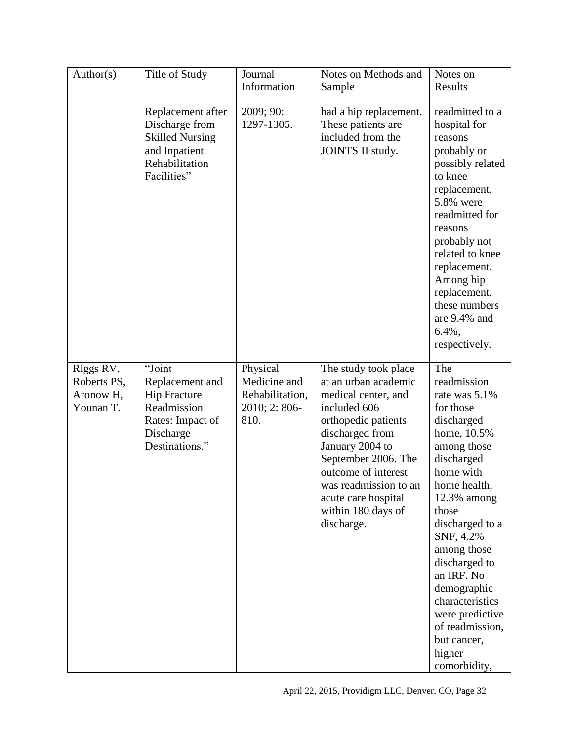| Author(s)                                          | Title of Study                                                                                                     | Journal<br>Information                                              | Notes on Methods and                                                                                                                                                                                                                                                               | Notes on<br>Results                                                                                                                                                                                                                                                                                                                                               |
|----------------------------------------------------|--------------------------------------------------------------------------------------------------------------------|---------------------------------------------------------------------|------------------------------------------------------------------------------------------------------------------------------------------------------------------------------------------------------------------------------------------------------------------------------------|-------------------------------------------------------------------------------------------------------------------------------------------------------------------------------------------------------------------------------------------------------------------------------------------------------------------------------------------------------------------|
|                                                    |                                                                                                                    |                                                                     | Sample                                                                                                                                                                                                                                                                             |                                                                                                                                                                                                                                                                                                                                                                   |
|                                                    | Replacement after<br>Discharge from<br><b>Skilled Nursing</b><br>and Inpatient<br>Rehabilitation<br>Facilities"    | 2009; 90:<br>1297-1305.                                             | had a hip replacement.<br>These patients are<br>included from the<br>JOINTS II study.                                                                                                                                                                                              | readmitted to a<br>hospital for<br>reasons<br>probably or<br>possibly related<br>to knee<br>replacement,<br>5.8% were<br>readmitted for<br>reasons<br>probably not<br>related to knee<br>replacement.<br>Among hip<br>replacement,<br>these numbers<br>are 9.4% and<br>6.4%,<br>respectively.                                                                     |
| Riggs RV,<br>Roberts PS,<br>Aronow H,<br>Younan T. | "Joint<br>Replacement and<br><b>Hip Fracture</b><br>Readmission<br>Rates: Impact of<br>Discharge<br>Destinations." | Physical<br>Medicine and<br>Rehabilitation,<br>2010; 2:806-<br>810. | The study took place<br>at an urban academic<br>medical center, and<br>included 606<br>orthopedic patients<br>discharged from<br>January 2004 to<br>September 2006. The<br>outcome of interest<br>was readmission to an<br>acute care hospital<br>within 180 days of<br>discharge. | The<br>readmission<br>rate was 5.1%<br>for those<br>discharged<br>home, 10.5%<br>among those<br>discharged<br>home with<br>home health,<br>$12.3\%$ among<br>those<br>discharged to a<br>SNF, 4.2%<br>among those<br>discharged to<br>an IRF. No<br>demographic<br>characteristics<br>were predictive<br>of readmission,<br>but cancer,<br>higher<br>comorbidity, |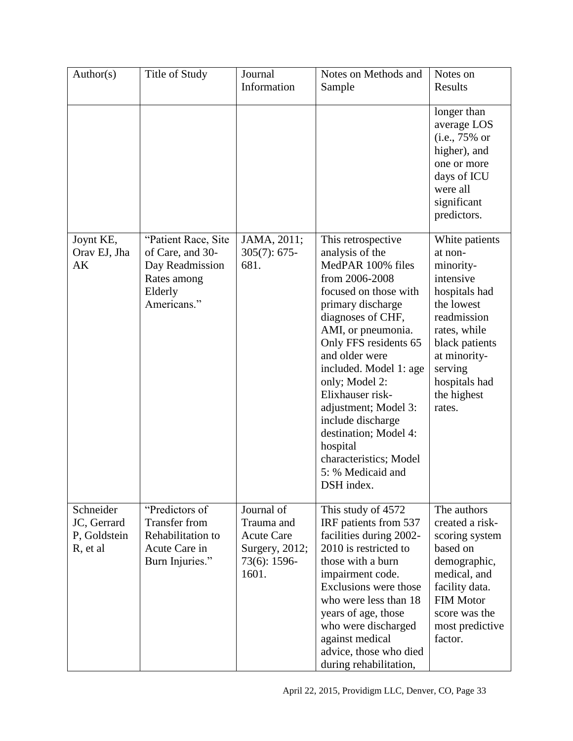| Author(s)                                            | Title of Study                                                                                  | Journal                                                                                  | Notes on Methods and                                                                                                                                                                                                                                                                                                                                                                                      | Notes on                                                                                                                                                                               |
|------------------------------------------------------|-------------------------------------------------------------------------------------------------|------------------------------------------------------------------------------------------|-----------------------------------------------------------------------------------------------------------------------------------------------------------------------------------------------------------------------------------------------------------------------------------------------------------------------------------------------------------------------------------------------------------|----------------------------------------------------------------------------------------------------------------------------------------------------------------------------------------|
|                                                      |                                                                                                 | Information                                                                              | Sample                                                                                                                                                                                                                                                                                                                                                                                                    | Results                                                                                                                                                                                |
|                                                      |                                                                                                 |                                                                                          |                                                                                                                                                                                                                                                                                                                                                                                                           | longer than<br>average LOS<br>$(i.e., 75\% \text{ or }$<br>higher), and<br>one or more<br>days of ICU<br>were all<br>significant<br>predictors.                                        |
| Joynt KE,                                            | "Patient Race, Site                                                                             | JAMA, 2011;                                                                              | This retrospective                                                                                                                                                                                                                                                                                                                                                                                        | White patients                                                                                                                                                                         |
| Orav EJ, Jha<br>AK                                   | of Care, and 30-<br>Day Readmission<br>Rates among<br>Elderly<br>Americans."                    | $305(7): 675-$<br>681.                                                                   | analysis of the<br>MedPAR 100% files<br>from 2006-2008<br>focused on those with<br>primary discharge<br>diagnoses of CHF,<br>AMI, or pneumonia.<br>Only FFS residents 65<br>and older were<br>included. Model 1: age<br>only; Model 2:<br>Elixhauser risk-<br>adjustment; Model 3:<br>include discharge<br>destination; Model 4:<br>hospital<br>characteristics; Model<br>5: % Medicaid and<br>DSH index. | at non-<br>minority-<br>intensive<br>hospitals had<br>the lowest<br>readmission<br>rates, while<br>black patients<br>at minority-<br>serving<br>hospitals had<br>the highest<br>rates. |
| Schneider<br>JC, Gerrard<br>P, Goldstein<br>R, et al | "Predictors of<br><b>Transfer from</b><br>Rehabilitation to<br>Acute Care in<br>Burn Injuries." | Journal of<br>Trauma and<br><b>Acute Care</b><br>Surgery, 2012;<br>73(6): 1596-<br>1601. | This study of 4572<br>IRF patients from 537<br>facilities during 2002-<br>2010 is restricted to<br>those with a burn<br>impairment code.<br>Exclusions were those<br>who were less than 18<br>years of age, those<br>who were discharged<br>against medical<br>advice, those who died<br>during rehabilitation,                                                                                           | The authors<br>created a risk-<br>scoring system<br>based on<br>demographic,<br>medical, and<br>facility data.<br><b>FIM Motor</b><br>score was the<br>most predictive<br>factor.      |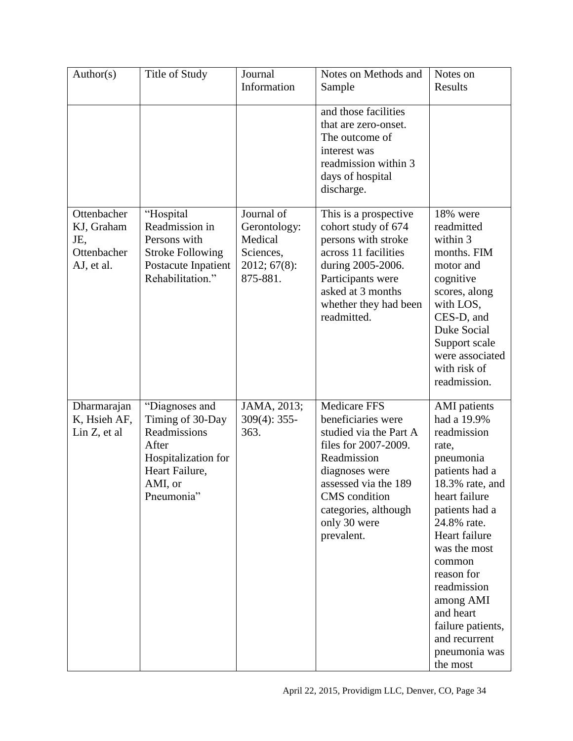| Author(s)                                                     | Title of Study                                                                                                                | Journal<br>Information                                                         | Notes on Methods and<br>Sample                                                                                                                                                                                              | Notes on<br>Results                                                                                                                                                                                                                                                                                                                    |
|---------------------------------------------------------------|-------------------------------------------------------------------------------------------------------------------------------|--------------------------------------------------------------------------------|-----------------------------------------------------------------------------------------------------------------------------------------------------------------------------------------------------------------------------|----------------------------------------------------------------------------------------------------------------------------------------------------------------------------------------------------------------------------------------------------------------------------------------------------------------------------------------|
|                                                               |                                                                                                                               |                                                                                | and those facilities<br>that are zero-onset.<br>The outcome of<br>interest was<br>readmission within 3<br>days of hospital<br>discharge.                                                                                    |                                                                                                                                                                                                                                                                                                                                        |
| Ottenbacher<br>KJ, Graham<br>JE,<br>Ottenbacher<br>AJ, et al. | "Hospital<br>Readmission in<br>Persons with<br><b>Stroke Following</b><br>Postacute Inpatient<br>Rehabilitation."             | Journal of<br>Gerontology:<br>Medical<br>Sciences,<br>2012; 67(8):<br>875-881. | This is a prospective<br>cohort study of 674<br>persons with stroke<br>across 11 facilities<br>during 2005-2006.<br>Participants were<br>asked at 3 months<br>whether they had been<br>readmitted.                          | 18% were<br>readmitted<br>within 3<br>months. FIM<br>motor and<br>cognitive<br>scores, along<br>with LOS,<br>CES-D, and<br>Duke Social<br>Support scale<br>were associated<br>with risk of<br>readmission.                                                                                                                             |
| Dharmarajan<br>K, Hsieh AF,<br>Lin Z, et al.                  | "Diagnoses and<br>Timing of 30-Day<br>Readmissions<br>After<br>Hospitalization for<br>Heart Failure,<br>AMI, or<br>Pneumonia" | JAMA, 2013;<br>$309(4): 355-$<br>363.                                          | <b>Medicare FFS</b><br>beneficiaries were<br>studied via the Part A<br>files for 2007-2009.<br>Readmission<br>diagnoses were<br>assessed via the 189<br>CMS condition<br>categories, although<br>only 30 were<br>prevalent. | <b>AMI</b> patients<br>had a 19.9%<br>readmission<br>rate,<br>pneumonia<br>patients had a<br>$18.3\%$ rate, and<br>heart failure<br>patients had a<br>24.8% rate.<br>Heart failure<br>was the most<br>common<br>reason for<br>readmission<br>among AMI<br>and heart<br>failure patients,<br>and recurrent<br>pneumonia was<br>the most |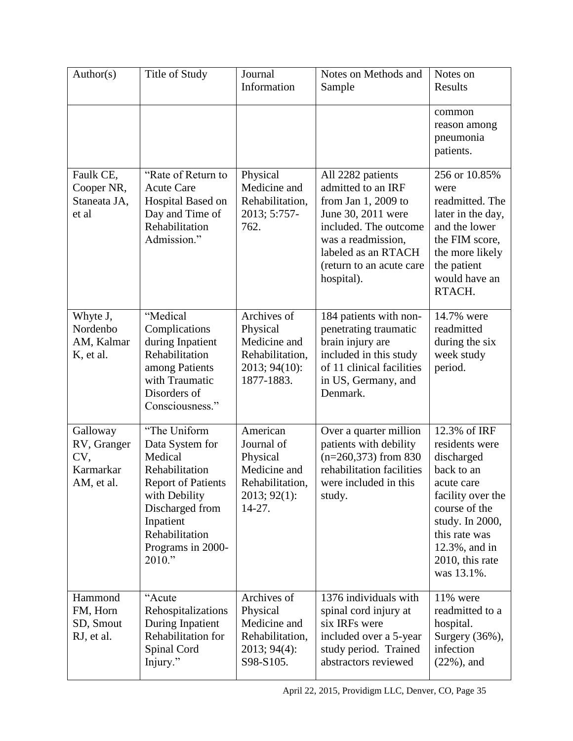| Author(s)                                                 | Title of Study                                                                                                                                                                              | Journal<br>Information                                                                            | Notes on Methods and<br>Sample                                                                                                                                                                       | Notes on<br>Results                                                                                                                                                                                      |
|-----------------------------------------------------------|---------------------------------------------------------------------------------------------------------------------------------------------------------------------------------------------|---------------------------------------------------------------------------------------------------|------------------------------------------------------------------------------------------------------------------------------------------------------------------------------------------------------|----------------------------------------------------------------------------------------------------------------------------------------------------------------------------------------------------------|
|                                                           |                                                                                                                                                                                             |                                                                                                   |                                                                                                                                                                                                      | common<br>reason among<br>pneumonia<br>patients.                                                                                                                                                         |
| Faulk CE,<br>Cooper NR,<br>Staneata JA,<br>et al          | "Rate of Return to<br><b>Acute Care</b><br>Hospital Based on<br>Day and Time of<br>Rehabilitation<br>Admission."                                                                            | Physical<br>Medicine and<br>Rehabilitation,<br>2013; 5:757-<br>762.                               | All 2282 patients<br>admitted to an IRF<br>from Jan 1, 2009 to<br>June 30, 2011 were<br>included. The outcome<br>was a readmission,<br>labeled as an RTACH<br>(return to an acute care<br>hospital). | 256 or 10.85%<br>were<br>readmitted. The<br>later in the day,<br>and the lower<br>the FIM score,<br>the more likely<br>the patient<br>would have an<br>RTACH.                                            |
| Whyte J,<br>Nordenbo<br>AM, Kalmar<br>K, et al.           | "Medical<br>Complications<br>during Inpatient<br>Rehabilitation<br>among Patients<br>with Traumatic<br>Disorders of<br>Consciousness."                                                      | Archives of<br>Physical<br>Medicine and<br>Rehabilitation,<br>2013; 94(10):<br>1877-1883.         | 184 patients with non-<br>penetrating traumatic<br>brain injury are<br>included in this study<br>of 11 clinical facilities<br>in US, Germany, and<br>Denmark.                                        | 14.7% were<br>readmitted<br>during the six<br>week study<br>period.                                                                                                                                      |
| Galloway<br>RV, Granger<br>CV,<br>Karmarkar<br>AM, et al. | "The Uniform<br>Data System for<br>Medical<br>Rehabilitation<br><b>Report of Patients</b><br>with Debility<br>Discharged from<br>Inpatient<br>Rehabilitation<br>Programs in 2000-<br>2010." | American<br>Journal of<br>Physical<br>Medicine and<br>Rehabilitation,<br>2013; 92(1):<br>$14-27.$ | Over a quarter million<br>patients with debility<br>$(n=260,373)$ from 830<br>rehabilitation facilities<br>were included in this<br>study.                                                           | 12.3% of IRF<br>residents were<br>discharged<br>back to an<br>acute care<br>facility over the<br>course of the<br>study. In 2000,<br>this rate was<br>$12.3\%$ , and in<br>2010, this rate<br>was 13.1%. |
| Hammond<br>FM, Horn<br>SD, Smout<br>RJ, et al.            | "Acute<br>Rehospitalizations<br>During Inpatient<br>Rehabilitation for<br>Spinal Cord<br>Injury."                                                                                           | Archives of<br>Physical<br>Medicine and<br>Rehabilitation,<br>2013; 94(4):<br>S98-S105.           | 1376 individuals with<br>spinal cord injury at<br>six IRFs were<br>included over a 5-year<br>study period. Trained<br>abstractors reviewed                                                           | 11% were<br>readmitted to a<br>hospital.<br>Surgery $(36\%)$ ,<br>infection<br>$(22\%)$ , and                                                                                                            |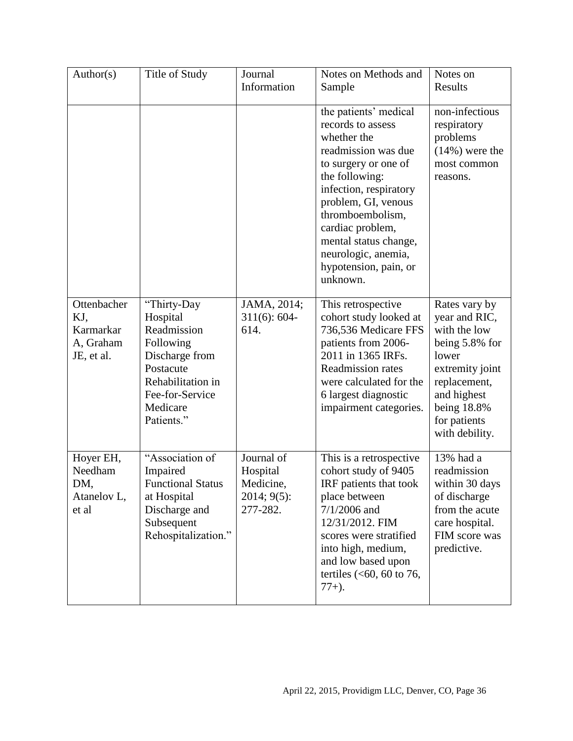| Author(s)                                                  | Title of Study                                                                                                                                       | Journal<br>Information                                         | Notes on Methods and<br>Sample                                                                                                                                                                                                                                                                           | Notes on<br>Results                                                                                                                                                          |
|------------------------------------------------------------|------------------------------------------------------------------------------------------------------------------------------------------------------|----------------------------------------------------------------|----------------------------------------------------------------------------------------------------------------------------------------------------------------------------------------------------------------------------------------------------------------------------------------------------------|------------------------------------------------------------------------------------------------------------------------------------------------------------------------------|
|                                                            |                                                                                                                                                      |                                                                | the patients' medical<br>records to assess<br>whether the<br>readmission was due<br>to surgery or one of<br>the following:<br>infection, respiratory<br>problem, GI, venous<br>thromboembolism,<br>cardiac problem,<br>mental status change,<br>neurologic, anemia,<br>hypotension, pain, or<br>unknown. | non-infectious<br>respiratory<br>problems<br>$(14\%)$ were the<br>most common<br>reasons.                                                                                    |
| Ottenbacher<br>KJ,<br>Karmarkar<br>A, Graham<br>JE, et al. | "Thirty-Day<br>Hospital<br>Readmission<br>Following<br>Discharge from<br>Postacute<br>Rehabilitation in<br>Fee-for-Service<br>Medicare<br>Patients." | JAMA, 2014;<br>$311(6): 604-$<br>614.                          | This retrospective<br>cohort study looked at<br>736,536 Medicare FFS<br>patients from 2006-<br>2011 in 1365 IRFs.<br><b>Readmission rates</b><br>were calculated for the<br>6 largest diagnostic<br>impairment categories.                                                                               | Rates vary by<br>year and RIC,<br>with the low<br>being 5.8% for<br>lower<br>extremity joint<br>replacement,<br>and highest<br>being 18.8%<br>for patients<br>with debility. |
| Hoyer EH,<br>Needham<br>DM,<br>Atanelov L,<br>et al        | "Association of<br>Impaired<br><b>Functional Status</b><br>at Hospital<br>Discharge and<br>Subsequent<br>Rehospitalization."                         | Journal of<br>Hospital<br>Medicine,<br>2014; 9(5):<br>277-282. | This is a retrospective<br>cohort study of 9405<br>IRF patients that took<br>place between<br>$7/1/2006$ and<br>12/31/2012. FIM<br>scores were stratified<br>into high, medium,<br>and low based upon<br>tertiles $(<60, 60$ to 76,<br>$77+$ ).                                                          | 13% had a<br>readmission<br>within 30 days<br>of discharge<br>from the acute<br>care hospital.<br>FIM score was<br>predictive.                                               |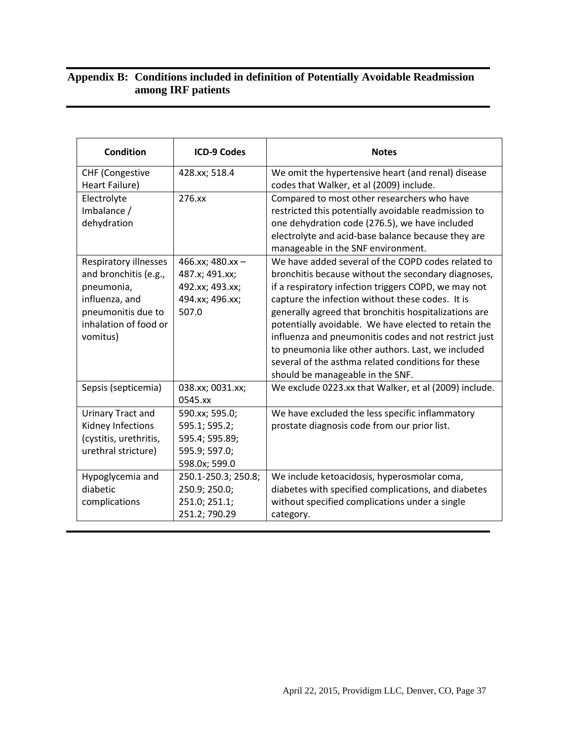#### **Appendix B: Conditions included in definition of Potentially Avoidable Readmission among IRF patients**

| <b>Condition</b>       | <b>ICD-9 Codes</b>  | <b>Notes</b>                                                                             |
|------------------------|---------------------|------------------------------------------------------------------------------------------|
| <b>CHF (Congestive</b> | 428.xx; 518.4       | We omit the hypertensive heart (and renal) disease                                       |
| Heart Failure)         |                     | codes that Walker, et al (2009) include.                                                 |
| Electrolyte            | 276.xx              | Compared to most other researchers who have                                              |
| Imbalance /            |                     | restricted this potentially avoidable readmission to                                     |
| dehydration            |                     | one dehydration code (276.5), we have included                                           |
|                        |                     | electrolyte and acid-base balance because they are<br>manageable in the SNF environment. |
| Respiratory illnesses  | 466.xx; 480.xx -    | We have added several of the COPD codes related to                                       |
| and bronchitis (e.g.,  | 487.x; 491.xx;      | bronchitis because without the secondary diagnoses,                                      |
| pneumonia,             | 492.xx; 493.xx;     | if a respiratory infection triggers COPD, we may not                                     |
| influenza, and         | 494.xx; 496.xx;     | capture the infection without these codes. It is                                         |
| pneumonitis due to     | 507.0               | generally agreed that bronchitis hospitalizations are                                    |
| inhalation of food or  |                     | potentially avoidable. We have elected to retain the                                     |
| vomitus)               |                     | influenza and pneumonitis codes and not restrict just                                    |
|                        |                     | to pneumonia like other authors. Last, we included                                       |
|                        |                     | several of the asthma related conditions for these                                       |
|                        |                     | should be manageable in the SNF.                                                         |
| Sepsis (septicemia)    | 038.xx; 0031.xx;    | We exclude 0223.xx that Walker, et al (2009) include.                                    |
|                        | 0545.xx             |                                                                                          |
| Urinary Tract and      | 590.xx; 595.0;      | We have excluded the less specific inflammatory                                          |
| Kidney Infections      | 595.1; 595.2;       | prostate diagnosis code from our prior list.                                             |
| (cystitis, urethritis, | 595.4; 595.89;      |                                                                                          |
| urethral stricture)    | 595.9; 597.0;       |                                                                                          |
|                        | 598.0x; 599.0       |                                                                                          |
| Hypoglycemia and       | 250.1-250.3; 250.8; | We include ketoacidosis, hyperosmolar coma,                                              |
| diabetic               | 250.9; 250.0;       | diabetes with specified complications, and diabetes                                      |
| complications          | 251.0; 251.1;       | without specified complications under a single                                           |
|                        | 251.2; 790.29       | category.                                                                                |